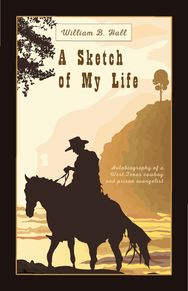William B. Hall

# Sketch A. of My Life

Autobiography of a West Texas cowboy and prison evangelist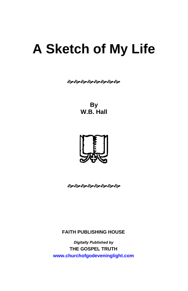## **A Sketch of My Life**

**જીજીજીજીજીજીજીજી** 

**By W.B. Hall**



જીંજીંજીંજીજીંજીંજી

**FAITH PUBLISHING HOUSE** 

*Digitally Published by*  **THE GOSPEL TRUTH <www.churchofgodeveninglight.com>**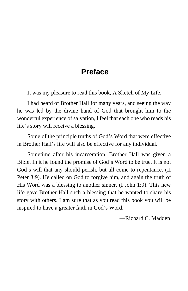## **Preface**

It was my pleasure to read this book, A Sketch of My Life.

I had heard of Brother Hall for many years, and seeing the way he was led by the divine hand of God that brought him to the wonderful experience of salvation, I feel that each one who reads his life's story will receive a blessing.

Some of the principle truths of God's Word that were effective in Brother Hall's life will also be effective for any individual.

Sometime after his incarceration, Brother Hall was given a Bible. In it he found the promise of God's Word to be true. It is not God's will that any should perish, but all come to repentance. (II Peter 3:9). He called on God to forgive him, and again the truth of His Word was a blessing to another sinner. (I John 1:9). This new life gave Brother Hall such a blessing that he wanted to share his story with others. I am sure that as you read this book you will be inspired to have a greater faith in God's Word.

—Richard C. Madden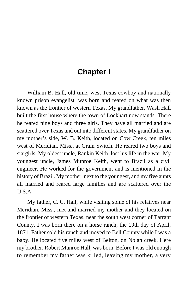## **Chapter I**

William B. Hall, old time, west Texas cowboy and nationally known prison evangelist, was born and reared on what was then known as the frontier of western Texas. My grandfather, Wash Hall built the first house where the town of Lockhart now stands. There he reared nine boys and three girls. They have all married and are scattered over Texas and out into different states. My grandfather on my mother's side, W. B. Keith, located on Cow Creek, ten miles west of Meridian, Miss., at Grain Switch. He reared two boys and six girls. My oldest uncle, Rankin Keith, lost his life in the war. My youngest uncle, James Munroe Keith, went to Brazil as a civil engineer. He worked for the government and is mentioned in the history of Brazil. My mother, next to the youngest, and my five aunts all married and reared large families and are scattered over the U.S.A.

My father, C. C. Hall, while visiting some of his relatives near Meridian, Miss., met and married my mother and they located on the frontier of western Texas, near the south west corner of Tarrant County. I was born there on a horse ranch, the 19th day of April, 1871. Father sold his ranch and moved to Bell County while I was a baby. He located five miles west of Belton, on Nolan creek. Here my brother, Robert Munroe Hall, was born. Before I was old enough to remember my father was killed, leaving my mother, a very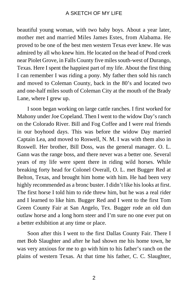beautiful young woman, with two baby boys. About a year later, mother met and married Miles James Estes, from Alabama. He proved to be one of the best men western Texas ever knew. He was admired by all who knew him. He located on the head of Pond creek near Piolet Grove, in Falls County five miles south-west of Durango, Texas. Here I spent the happiest part of my life. About the first thing I can remember I was riding a pony. My father then sold his ranch and moved to Coleman County, back in the 80's and located two and one-half miles south of Coleman City at the mouth of the Brady Lane, where I grew up.

I soon began working on large cattle ranches. I first worked for Mahony under Joe Copeland. Then I went to the widow Day's ranch on the Colorado River. Bill and Fog Coffee and I were real friends in our boyhood days. This was before the widow Day married Captain Lea, and moved to Roswell, N. M. I was with them also in Roswell. Her brother, Bill Doss, was the general manager. O. L. Gann was the range boss, and there never was a better one. Several years of my life were spent there in riding wild horses. While breaking forty head for Colonel Overall, O. L. met Bugger Red at Belton, Texas, and brought him home with him. He had been very highly recommended as a bronc buster. I didn't like his looks at first. The first horse I told him to ride threw him, but he was a real rider and I learned to like him. Bugger Red and I went to the first Tom Green County Fair at San Angelo, Tex. Bugger rode an old dun outlaw horse and a long horn steer and I'm sure no one ever put on a better exhibition at any time or place.

Soon after this I went to the first Dallas County Fair. There I met Bob Slaughter and after he had shown me his home town, he was very anxious for me to go with him to his father's ranch on the plains of western Texas. At that time his father, C. C. Slaughter,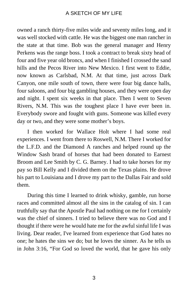owned a ranch thirty-five miles wide and seventy miles long, and it was well stocked with cattle. He was the biggest one man rancher in the state at that time. Bob was the general manager and Henry Perkens was the range boss. I took a contract to break sixty head of four and five year old broncs, and when I finished I crossed the sand hills and the Pecos River into New Mexico. I first went to Eddie, now known as Carlsbad, N.M. At that time, just across Dark Canyon, one mile south of town, there were four big dance halls, four saloons, and four big gambling houses, and they were open day and night. I spent six weeks in that place. Then I went to Seven Rivers, N.M. This was the toughest place I have ever been in. Everybody swore and fought with guns. Someone was killed every day or two, and they were some mother's boys.

I then worked for Wallace Holt where I had some real experiences. I went from there to Roswell, N.M. There I worked for the L.F.D. and the Diamond A ranches and helped round up the Window Sash brand of horses that had been donated to Earnest Broom and Lee Smith by C. G. Barney. I had to take horses for my pay so Bill Kelly and I divided them on the Texas plains. He drove his part to Louisiana and I drove my part to the Dallas Fair and sold them.

During this time I learned to drink whisky, gamble, run horse races and committed almost all the sins in the catalog of sin. I can truthfully say that the Apostle Paul had nothing on me for I certainly was the chief of sinners. I tried to believe there was no God and I thought if there were he would hate me for the awful sinful life I was living. Dear reader, I've learned from experience that God hates no one; he hates the sins we do; but he loves the sinner. As he tells us in John 3:16, "For God so loved the world, that he gave his only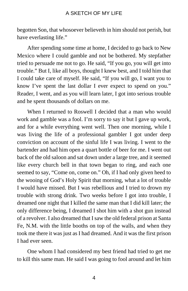begotten Son, that whosoever believeth in him should not perish, but have everlasting life."

After spending some time at home, I decided to go back to New Mexico where I could gamble and not be bothered. My stepfather tried to persuade me not to go. He said, "If you go, you will get into trouble." But I, like all boys, thought I knew best, and I told him that I could take care of myself. He said, "If you will go, I want you to know I've spent the last dollar I ever expect to spend on you." Reader, I went, and as you will learn later, I got into serious trouble and he spent thousands of dollars on me.

When I returned to Roswell I decided that a man who would work and gamble was a fool. I'm sorry to say it but I gave up work, and for a while everything went well. Then one morning, while I was living the life of a professional gambler I got under deep conviction on account of the sinful life I was living. I went to the bartender and had him open a quart bottle of beer for me. I went out back of the old saloon and sat down under a large tree, and it seemed like every church bell in that town began to ring, and each one seemed to say, "Come on, come on." Oh, if I had only given heed to the wooing of God's Holy Spirit that morning, what a lot of trouble I would have missed. But I was rebellious and I tried to drown my trouble with strong drink. Two weeks before I got into trouble, I dreamed one night that I killed the same man that I did kill later; the only difference being, I dreamed I shot him with a shot gun instead of a revolver. I also dreamed that I saw the old federal prison at Santa Fe, N.M. with the little booths on top of the walls, and when they took me there it was just as I had dreamed. And it was the first prison I had ever seen.

One whom I had considered my best friend had tried to get me to kill this same man. He said I was going to fool around and let him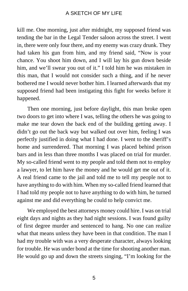kill me. One morning, just after midnight, my supposed friend was tending the bar in the Legal Tender saloon across the street. I went in, there were only four there, and my enemy was crazy drunk. They had taken his gun from him, and my friend said, "Now is your chance. You shoot him down, and I will lay his gun down beside him, and we'll swear you out of it." I told him he was mistaken in this man, that I would not consider such a thing, and if he never bothered me I would never bother him. I learned afterwards that my supposed friend had been instigating this fight for weeks before it happened.

Then one morning, just before daylight, this man broke open two doors to get into where I was, telling the others he was going to make me tear down the back end of the building getting away. I didn't go out the back way but walked out over him, feeling I was perfectly justified in doing what I had done. I went to the sheriff's home and surrendered. That morning I was placed behind prison bars and in less than three months I was placed on trial for murder. My so-called friend went to my people and told them not to employ a lawyer, to let him have the money and he would get me out of it. A real friend came to the jail and told me to tell my people not to have anything to do with him. When my so-called friend learned that I had told my people not to have anything to do with him, he turned against me and did everything he could to help convict me.

We employed the best attorneys money could hire. I was on trial eight days and nights as they had night sessions. I was found guilty of first degree murder and sentenced to hang. No one can realize what that means unless they have been in that condition. The man I had my trouble with was a very desperate character, always looking for trouble. He was under bond at the time for shooting another man. He would go up and down the streets singing, "I'm looking for the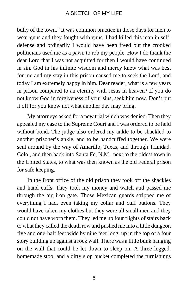bully of the town." It was common practice in those days for men to wear guns and they fought with guns. I had killed this man in selfdefense and ordinarily I would have been freed but the crooked politicians used me as a pawn to rob my people. How I do thank the dear Lord that I was not acquitted for then I would have continued in sin. God in his infinite wisdom and mercy knew what was best for me and my stay in this prison caused me to seek the Lord, and today I am extremely happy in him. Dear reader, what is a few years in prison compared to an eternity with Jesus in heaven? If you do not know God in forgiveness of your sins, seek him now. Don't put it off for you know not what another day may bring.

My attorneys asked for a new trial which was denied. Then they appealed my case to the Supreme Court and I was ordered to be held without bond. The judge also ordered my ankle to be shackled to another prisoner's ankle, and to be handcuffed together. We were sent around by the way of Amarillo, Texas, and through Trinidad, Colo., and then back into Santa Fe, N.M., next to the oldest town in the United States, to what was then known as the old Federal prison for safe keeping.

In the front office of the old prison they took off the shackles and hand cuffs. They took my money and watch and passed me through the big iron gate. Those Mexican guards stripped me of everything I had, even taking my collar and cuff buttons. They would have taken my clothes but they were all small men and they could not have worn them. They led me up four flights of stairs back to what they called the death row and pushed me into a little dungeon five and one-half feet wide by nine feet long, up in the top of a four story building up against a rock wall. There was a little bunk hanging on the wall that could be let down to sleep on. A three legged, homemade stool and a dirty slop bucket completed the furnishings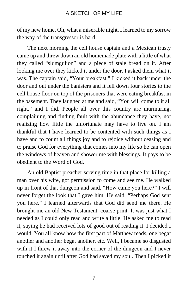of my new home. Oh, what a miserable night. I learned to my sorrow the way of the transgressor is hard.

The next morning the cell house captain and a Mexican trusty came up and threw down an old homemade plate with a little of what they called "slumgulion" and a piece of stale bread on it. After looking me over they kicked it under the door. I asked them what it was. The captain said, "Your breakfast." I kicked it back under the door and out under the banisters and it fell down four stories to the cell house floor on top of the prisoners that were eating breakfast in the basement. They laughed at me and said, "You will come to it all right," and I did. People all over this country are murmuring, complaining and finding fault with the abundance they have, not realizing how little the unfortunate may have to live on. I am thankful that I have learned to be contented with such things as I have and to count all things joy and to rejoice without ceasing and to praise God for everything that comes into my life so he can open the windows of heaven and shower me with blessings. It pays to be obedient to the Word of God.

An old Baptist preacher serving time in that place for killing a man over his wife, got permission to come and see me. He walked up in front of that dungeon and said, "How came you here?" I will never forget the look that I gave him. He said, "Perhaps God sent you here." I learned afterwards that God did send me there. He brought me an old New Testament, coarse print. It was just what I needed as I could only read and write a little. He asked me to read it, saying he had received lots of good out of reading it. I decided I would. You all know how the first part of Matthew reads, one begat another and another begat another, etc. Well, I became so disgusted with it I threw it away into the corner of the dungeon and I never touched it again until after God had saved my soul. Then I picked it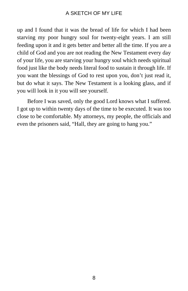up and I found that it was the bread of life for which I had been starving my poor hungry soul for twenty-eight years. I am still feeding upon it and it gets better and better all the time. If you are a child of God and you are not reading the New Testament every day of your life, you are starving your hungry soul which needs spiritual food just like the body needs literal food to sustain it through life. If you want the blessings of God to rest upon you, don't just read it, but do what it says. The New Testament is a looking glass, and if you will look in it you will see yourself.

Before I was saved, only the good Lord knows what I suffered. I got up to within twenty days of the time to be executed. It was too close to be comfortable. My attorneys, my people, the officials and even the prisoners said, "Hall, they are going to hang you."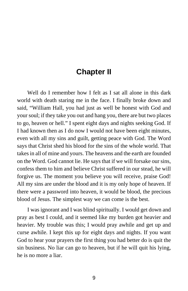## **Chapter II**

Well do I remember how I felt as I sat all alone in this dark world with death staring me in the face. I finally broke down and said, "William Hall, you had just as well be honest with God and your soul; if they take you out and hang you, there are but two places to go, heaven or hell." I spent eight days and nights seeking God. If I had known then as I do now I would not have been eight minutes, even with all my sins and guilt, getting peace with God. The Word says that Christ shed his blood for the sins of the whole world. That takes in all of mine and yours. The heavens and the earth are founded on the Word. God cannot lie. He says that if we will forsake our sins, confess them to him and believe Christ suffered in our stead, he will forgive us. The moment you believe you will receive, praise God! All my sins are under the blood and it is my only hope of heaven. If there were a password into heaven, it would be blood, the precious blood of Jesus. The simplest way we can come is the best.

I was ignorant and I was blind spiritually. I would get down and pray as best I could, and it seemed like my burden got heavier and heavier. My trouble was this; I would pray awhile and get up and curse awhile. I kept this up for eight days and nights. If you want God to hear your prayers the first thing you had better do is quit the sin business. No liar can go to heaven, but if he will quit his lying, he is no more a liar.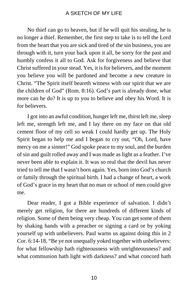No thief can go to heaven, but if he will quit his stealing, he is no longer a thief. Remember, the first step to take is to tell the Lord from the heart that you are sick and tired of the sin business, you are through with it, turn your back upon it all, be sorry for the past and humbly confess it all to God. Ask for forgiveness and believe that Christ suffered in your stead. Yes, it is for believers, and the moment you believe you will be pardoned and become a new creature in Christ. "The Spirit itself beareth witness with our spirit that we are the children of God" (Rom. 8:16). God's part is already done, what more can he do? It is up to you to believe and obey his Word. It is for believers.

I got into an awful condition, hunger left me, thirst left me, sleep left me, strength left me, and I lay there on my face on that old cement floor of my cell so weak I could hardly get up. The Holy Spirit began to help me and I began to cry out, "Oh, Lord, have mercy on me a sinner!" God spoke peace to my soul, and the burden of sin and guilt rolled away and I was made as light as a feather. I've never been able to explain it. It was so real that the devil has never tried to tell me that I wasn't born again. Yes, born into God's church or family through the spiritual birth. I had a change of heart, a work of God's grace in my heart that no man or school of men could give me.

Dear reader, I got a Bible experience of salvation. I didn't merely get religion, for there are hundreds of different kinds of religion. Some of them being very cheap. You can get some of them by shaking hands with a preacher or signing a card or by yoking yourself up with unbelievers. Paul warns us against doing this in 2 Cor. 6:14-18, "Be ye not unequally yoked together with unbelievers: for what fellowship hath righteousness with unrighteousness? and what communion hath light with darkness? and what concord hath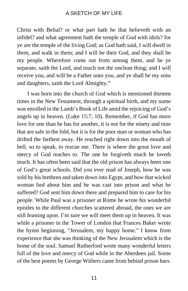Christ with Belial? or what part hath he that believeth with an infidel? and what agreement hath the temple of God with idols? for ye are the temple of the living God; as God hath said, I will dwell in them, and walk in them; and I will be their God, and they shall be my people. Wherefore come out from among them, and be ye separate, saith the Lord, and touch not the unclean thing; and I will receive you, and will be a Father unto you, and ye shall be my sons and daughters, saith the Lord Almighty."

I was born into the church of God which is mentioned thirteen times in the New Testament, through a spiritual birth, and my name was enrolled in the Lamb's Book of Life amid the rejoicing of God's angels up in heaven. (Luke 15:7, 10). Remember, if God has more love for one than he has for another, it is not for the ninety and nine that are safe in the fold, but it is for the poor man or woman who has drifted the farthest away. He reached right down into the mouth of hell, so to speak, to rescue me. There is where the great love and mercy of God reaches to. The one he forgiveth much he loveth much. It has often been said that the old prison has always been one of God's great schools. Did you ever read of Joseph, how he was sold by his brethren and taken down into Egypt, and how that wicked woman lied about him and he was cast into prison and what he suffered? God sent him down there and prepared him to care for his people. While Paul was a prisoner at Rome he wrote his wonderful epistles to the different churches scattered abroad, the ones we are still feasting upon. I'm sure we will meet them up in heaven. It was while a prisoner in the Tower of London that Frances Baker wrote the hymn beginning, "Jerusalem, my happy home." I know from experience that she was thinking of the New Jerusalem which is the home of the soul. Samuel Rutherford wrote many wonderful letters full of the love and mercy of God while in the Aberdeen jail. Some of the best poems by George Withers came from behind prison bars.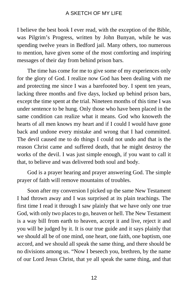I believe the best book I ever read, with the exception of the Bible, was Pilgrim's Progress, written by John Bunyan, while he was spending twelve years in Bedford jail. Many others, too numerous to mention, have given some of the most comforting and inspiring messages of their day from behind prison bars.

The time has come for me to give some of my experiences only for the glory of God. I realize now God has been dealing with me and protecting me since I was a barefooted boy. I spent ten years, lacking three months and five days, locked up behind prison bars, except the time spent at the trial. Nineteen months of this time I was under sentence to be hung. Only those who have been placed in the same condition can realize what it means. God who knoweth the hearts of all men knows my heart and if I could I would have gone back and undone every mistake and wrong that I had committed. The devil caused me to do things I could not undo and that is the reason Christ came and suffered death, that he might destroy the works of the devil. I was just simple enough, if you want to call it that, to believe and was delivered both soul and body.

God is a prayer hearing and prayer answering God. The simple prayer of faith will remove mountains of troubles.

Soon after my conversion I picked up the same New Testament I had thrown away and I was surprised at its plain teachings. The first time I read it through I saw plainly that we have only one true God, with only two places to go, heaven or hell. The New Testament is a way bill from earth to heaven, accept it and live, reject it and you will be judged by it. It is our true guide and it says plainly that we should all be of one mind, one heart, one faith, one baptism, one accord, and we should all speak the same thing, and there should be no divisions among us. "Now I beseech you, brethren, by the name of our Lord Jesus Christ, that ye all speak the same thing, and that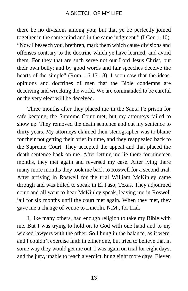there be no divisions among you; but that ye be perfectly joined together in the same mind and in the same judgment." (I Cor. 1:10). "Now I beseech you, brethren, mark them which cause divisions and offenses contrary to the doctrine which ye have learned; and avoid them. For they that are such serve not our Lord Jesus Christ, but their own belly; and by good words and fair speeches deceive the hearts of the simple" (Rom. 16:17-18). I soon saw that the ideas, opinions and doctrines of men that the Bible condemns are deceiving and wrecking the world. We are commanded to be careful or the very elect will be deceived.

Three months after they placed me in the Santa Fe prison for safe keeping, the Supreme Court met, but my attorneys failed to show up. They removed the death sentence and cut my sentence to thirty years. My attorneys claimed their stenographer was to blame for their not getting their brief in time, and they reappealed back to the Supreme Court. They accepted the appeal and that placed the death sentence back on me. After letting me lie there for nineteen months, they met again and reversed my case. After lying there many more months they took me back to Roswell for a second trial. After arriving in Roswell for the trial William McKinley came through and was billed to speak in El Paso, Texas. They adjourned court and all went to hear McKinley speak, leaving me in Roswell jail for six months until the court met again. When they met, they gave me a change of venue to Lincoln, N.M., for trial.

I, like many others, had enough religion to take my Bible with me. But I was trying to hold on to God with one hand and to my wicked lawyers with the other. So I hung in the balance, as it were, and I couldn't exercise faith in either one, but tried to believe that in some way they would get me out. I was again on trial for eight days, and the jury, unable to reach a verdict, hung eight more days. Eleven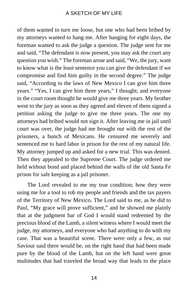of them wanted to turn me loose, but one who had been bribed by my attorneys wanted to hang me. After hanging for eight days, the foreman wanted to ask the judge a question. The judge sent for me and said, "The defendant is now present, you may ask the court any question you wish." The foreman arose and said, "We, the jury, want to know what is the least sentence you can give the defendant if we compromise and find him guilty in the second degree." The judge said, "According to the laws of New Mexico I can give him three years." "Yes, I can give him three years," I thought; and everyone in the court room thought he would give me three years. My brother went to the jury as soon as they agreed and eleven of them signed a petition asking the judge to give me three years. The one my attorneys had bribed would not sign it. After leaving me in jail until court was over, the judge had me brought out with the rest of the prisoners, a bunch of Mexicans. He censured me severely and sentenced me to hard labor in prison for the rest of my natural life. My attorney jumped up and asked for a new trial. This was denied. Then they appealed to the Supreme Court. The judge ordered me held without bond and placed behind the walls of the old Santa Fe prison for safe keeping as a jail prisoner.

The Lord revealed to me my true condition; how they were using me for a tool to rob my people and friends and the tax payers of the Territory of New Mexico. The Lord said to me, as he did to Paul, "My grace will prove sufficient," and he showed me plainly that at the judgment bar of God I would stand redeemed by the precious blood of the Lamb, a silent witness where I would meet the judge, my attorneys, and everyone who had anything to do with my case. That was a beautiful scene. There were only a few, as our Saviour said there would be, on the right hand that had been made pure by the blood of the Lamb, but on the left hand were great multitudes that had traveled the broad way that leads to the place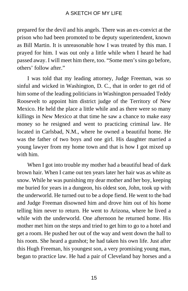prepared for the devil and his angels. There was an ex-convict at the prison who had been promoted to be deputy superintendent, known as Bill Martin. It is unreasonable how I was treated by this man. I prayed for him. I was out only a little while when I heard he had passed away. I will meet him there, too. "Some men's sins go before, others' follow after."

I was told that my leading attorney, Judge Freeman, was so sinful and wicked in Washington, D. C., that in order to get rid of him some of the leading politicians in Washington persuaded Teddy Roosevelt to appoint him district judge of the Territory of New Mexico. He held the place a little while and as there were so many killings in New Mexico at that time he saw a chance to make easy money so he resigned and went to practicing criminal law. He located in Carlsbad, N.M., where he owned a beautiful home. He was the father of two boys and one girl. His daughter married a young lawyer from my home town and that is how I got mixed up with him.

When I got into trouble my mother had a beautiful head of dark brown hair. When I came out ten years later her hair was as white as snow. While he was punishing my dear mother and her boy, keeping me buried for years in a dungeon, his oldest son, John, took up with the underworld. He turned out to be a dope fiend. He went to the bad and Judge Freeman disowned him and drove him out of his home telling him never to return. He went to Arizona, where he lived a while with the underworld. One afternoon he returned home. His mother met him on the steps and tried to get him to go to a hotel and get a room. He pushed her out of the way and went down the hall to his room. She heard a gunshot; he had taken his own life. Just after this Hugh Freeman, his youngest son, a very promising young man, began to practice law. He had a pair of Cleveland bay horses and a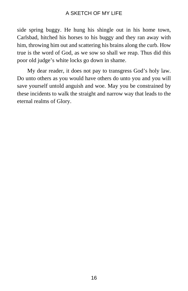side spring buggy. He hung his shingle out in his home town, Carlsbad, hitched his horses to his buggy and they ran away with him, throwing him out and scattering his brains along the curb. How true is the word of God, as we sow so shall we reap. Thus did this poor old judge's white locks go down in shame.

My dear reader, it does not pay to transgress God's holy law. Do unto others as you would have others do unto you and you will save yourself untold anguish and woe. May you be constrained by these incidents to walk the straight and narrow way that leads to the eternal realms of Glory.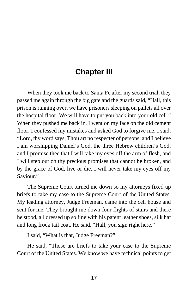## **Chapter III**

When they took me back to Santa Fe after my second trial, they passed me again through the big gate and the guards said, "Hall, this prison is running over, we have prisoners sleeping on pallets all over the hospital floor. We will have to put you back into your old cell." When they pushed me back in, I went on my face on the old cement floor. I confessed my mistakes and asked God to forgive me. I said, "Lord, thy word says, Thou art no respecter of persons, and I believe I am worshipping Daniel's God, the three Hebrew children's God, and I promise thee that I will take my eyes off the arm of flesh, and I will step out on thy precious promises that cannot be broken, and by the grace of God, live or die, I will never take my eyes off my Saviour."

The Supreme Court turned me down so my attorneys fixed up briefs to take my case to the Supreme Court of the United States. My leading attorney, Judge Freeman, came into the cell house and sent for me. They brought me down four flights of stairs and there he stood, all dressed up so fine with his patent leather shoes, silk hat and long frock tail coat. He said, "Hall, you sign right here."

I said, "What is that, Judge Freeman?"

He said, "Those are briefs to take your case to the Supreme Court of the United States. We know we have technical points to get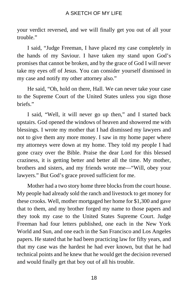your verdict reversed, and we will finally get you out of all your trouble."

I said, "Judge Freeman, I have placed my case completely in the hands of my Saviour. I have taken my stand upon God's promises that cannot be broken, and by the grace of God I will never take my eyes off of Jesus. You can consider yourself dismissed in my case and notify my other attorney also."

He said, "Oh, hold on there, Hall. We can never take your case to the Supreme Court of the United States unless you sign those briefs."

I said, "Well, it will never go up then," and I started back upstairs. God opened the windows of heaven and showered me with blessings. I wrote my mother that I had dismissed my lawyers and not to give them any more money. I saw in my home paper where my attorneys were down at my home. They told my people I had gone crazy over the Bible. Praise the dear Lord for this blessed craziness, it is getting better and better all the time. My mother, brothers and sisters, and my friends wrote me—"Will, obey your lawyers." But God's grace proved sufficient for me.

Mother had a two story home three blocks from the court house. My people had already sold the ranch and livestock to get money for these crooks. Well, mother mortgaged her home for \$1,300 and gave that to them, and my brother forged my name to those papers and they took my case to the United States Supreme Court. Judge Freeman had four letters published, one each in the New York World and Sun, and one each in the San Francisco and Los Angeles papers. He stated that he had been practicing law for fifty years, and that my case was the hardest he had ever known, but that he had technical points and he knew that he would get the decision reversed and would finally get that boy out of all his trouble.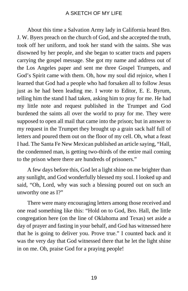About this time a Salvation Army lady in California heard Bro. J. W. Byers preach on the church of God, and she accepted the truth, took off her uniform, and took her stand with the saints. She was disowned by her people, and she began to scatter tracts and papers carrying the gospel message. She got my name and address out of the Los Angeles paper and sent me three Gospel Trumpets, and God's Spirit came with them. Oh, how my soul did rejoice, when I learned that God had a people who had forsaken all to follow Jesus just as he had been leading me. I wrote to Editor, E. E. Byrum, telling him the stand I had taken, asking him to pray for me. He had my little note and request published in the Trumpet and God burdened the saints all over the world to pray for me. They were supposed to open all mail that came into the prison; but in answer to my request in the Trumpet they brought up a grain sack half full of letters and poured them out on the floor of my cell. Oh, what a feast I had. The Santa Fe New Mexican published an article saying, "Hall, the condemned man, is getting two-thirds of the entire mail coming to the prison where there are hundreds of prisoners."

A few days before this, God let a light shine on me brighter than any sunlight, and God wonderfully blessed my soul. I looked up and said, "Oh, Lord, why was such a blessing poured out on such an unworthy one as I?"

There were many encouraging letters among those received and one read something like this: "Hold on to God, Bro. Hall, the little congregation here (on the line of Oklahoma and Texas) set aside a day of prayer and fasting in your behalf, and God has witnessed here that he is going to deliver you. Prove true." I counted back and it was the very day that God witnessed there that he let the light shine in on me. Oh, praise God for a praying people!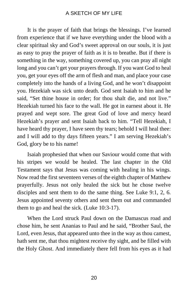It is the prayer of faith that brings the blessings. I've learned from experience that if we have everything under the blood with a clear spiritual sky and God's sweet approval on our souls, it is just as easy to pray the prayer of faith as it is to breathe. But if there is something in the way, something covered up, you can pray all night long and you can't get your prayers through. If you want God to heal you, get your eyes off the arm of flesh and man, and place your case completely into the hands of a living God, and he won't disappoint you. Hezekiah was sick unto death. God sent Isaiah to him and he said, "Set thine house in order; for thou shalt die, and not live." Hezekiah turned his face to the wall. He got in earnest about it. He prayed and wept sore. The great God of love and mercy heard Hezekiah's prayer and sent Isaiah back to him. "Tell Hezekiah, I have heard thy prayer, I have seen thy tears; behold I will heal thee: and I will add to thy days fifteen years." I am serving Hezekiah's God, glory be to his name!

Isaiah prophesied that when our Saviour would come that with his stripes we would be healed. The last chapter in the Old Testament says that Jesus was coming with healing in his wings. Now read the first seventeen verses of the eighth chapter of Matthew prayerfully. Jesus not only healed the sick but he chose twelve disciples and sent them to do the same thing. See Luke 9:1, 2, 6. Jesus appointed seventy others and sent them out and commanded them to go and heal the sick. (Luke 10:3-17).

When the Lord struck Paul down on the Damascus road and chose him, he sent Ananias to Paul and he said, "Brother Saul, the Lord, even Jesus, that appeared unto thee in the way as thou camest, hath sent me, that thou mightest receive thy sight, and be filled with the Holy Ghost. And immediately there fell from his eyes as it had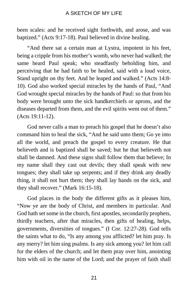been scales: and he received sight forthwith, and arose, and was baptized." (Acts 9:17-18). Paul believed in divine healing.

"And there sat a certain man at Lystra, impotent in his feet, being a cripple from his mother's womb, who never had walked; the same heard Paul speak; who steadfastly beholding him, and perceiving that he had faith to be healed, said with a loud voice, Stand upright on thy feet. And he leaped and walked." (Acts 14:8- 10). God also worked special miracles by the hands of Paul, "And God wrought special miracles by the hands of Paul: so that from his body were brought unto the sick handkerchiefs or aprons, and the diseases departed from them, and the evil spirits went out of them." (Acts 19:11-12).

God never calls a man to preach his gospel that he doesn't also command him to heal the sick, "And he said unto them; Go ye into all the world, and preach the gospel to every creature. He that believeth and is baptized shall be saved; but he that believeth not shall be damned. And these signs shall follow them that believe; In my name shall they cast out devils; they shall speak with new tongues; they shall take up serpents; and if they drink any deadly thing, it shall not hurt them; they shall lay hands on the sick, and they shall recover." (Mark 16:15-18).

God places in the body the different gifts as it pleases him, "Now ye are the body of Christ, and members in particular. And God hath set some in the church, first apostles, secondarily prophets, thirdly teachers, after that miracles, then gifts of healing, helps, governments, diversities of tongues." (I Cor. 12:27-28). God tells the saints what to do, "Is any among you afflicted? let him pray. Is any merry? let him sing psalms. Is any sick among you? let him call for the elders of the church; and let them pray over him, anointing him with oil in the name of the Lord; and the prayer of faith shall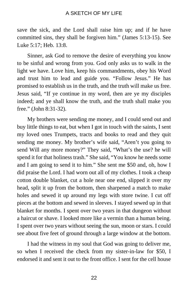save the sick, and the Lord shall raise him up; and if he have committed sins, they shall be forgiven him." (James 5:13-15). See Luke 5:17; Heb. 13:8.

Sinner, ask God to remove the desire of everything you know to be sinful and wrong from you. God only asks us to walk in the light we have. Love him, keep his commandments, obey his Word and trust him to lead and guide you. "Follow Jesus." He has promised to establish us in the truth, and the truth will make us free. Jesus said, "If ye continue in my word, then are ye my disciples indeed; and ye shall know the truth, and the truth shall make you free." (John 8:31-32).

My brothers were sending me money, and I could send out and buy little things to eat, but when I got in touch with the saints, I sent my loved ones Trumpets, tracts and books to read and they quit sending me money. My brother's wife said, "Aren't you going to send Will any more money?" They said, "What's the use? he will spend it for that holiness trash." She said, "You know he needs some and I am going to send it to him." She sent me \$50 and, oh, how I did praise the Lord. I had worn out all of my clothes. I took a cheap cotton double blanket, cut a hole near one end, slipped it over my head, split it up from the bottom, then sharpened a match to make holes and sewed it up around my legs with store twine. I cut off pieces at the bottom and sewed in sleeves. I stayed sewed up in that blanket for months. I spent over two years in that dungeon without a haircut or shave. I looked more like a vermin than a human being. I spent over two years without seeing the sun, moon or stars. I could see about five feet of ground through a large window at the bottom.

I had the witness in my soul that God was going to deliver me, so when I received the check from my sister-in-law for \$50, I endorsed it and sent it out to the front office. I sent for the cell house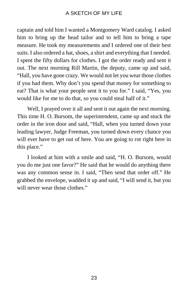captain and told him I wanted a Montgomery Ward catalog. I asked him to bring up the head tailor and to tell him to bring a tape measure. He took my measurements and I ordered one of their best suits. I also ordered a hat, shoes, a shirt and everything that I needed. I spent the fifty dollars for clothes. I got the order ready and sent it out. The next morning Rill Martin, the deputy, came up and said, "Hall, you have gone crazy. We would not let you wear those clothes if you had them. Why don't you spend that money for something to eat? That is what your people sent it to you for." I said, "Yes, you would like for me to do that, so you could steal half of it."

Well, I prayed over it all and sent it out again the next morning. This time H. O. Bursom, the superintendent, came up and stuck the order in the iron door and said, "Hall, when you turned down your leading lawyer, Judge Freeman, you turned down every chance you will ever have to get out of here. You are going to rot right here in this place."

I looked at him with a smile and said, "H. O. Bursom, would you do me just one favor?" He said that he would do anything there was any common sense in. I said, "Then send that order off." He grabbed the envelope, wadded it up and said, "I will send it, but you will never wear those clothes."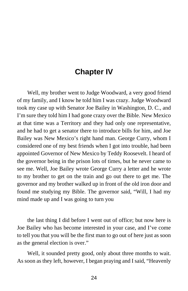## **Chapter IV**

Well, my brother went to Judge Woodward, a very good friend of my family, and I know he told him I was crazy. Judge Woodward took my case up with Senator Joe Bailey in Washington, D. C., and I'm sure they told him I had gone crazy over the Bible. New Mexico at that time was a Territory and they had only one representative, and he had to get a senator there to introduce bills for him, and Joe Bailey was New Mexico's right hand man. George Curry, whom I considered one of my best friends when I got into trouble, had been appointed Governor of New Mexico by Teddy Roosevelt. I heard of the governor being in the prison lots of times, but he never came to see me. Well, Joe Bailey wrote George Curry a letter and he wrote to my brother to get on the train and go out there to get me. The governor and my brother walked up in front of the old iron door and found me studying my Bible. The governor said, "Will, I had my mind made up and I was going to turn you

the last thing I did before I went out of office; but now here is Joe Bailey who has become interested in your case, and I've come to tell you that you will be the first man to go out of here just as soon as the general election is over."

Well, it sounded pretty good, only about three months to wait. As soon as they left, however, I began praying and I said, "Heavenly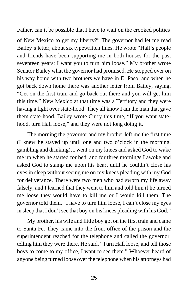Father, can it be possible that I have to wait on the crooked politics

of New Mexico to get my liberty?" The governor had let me read Bailey's letter, about six typewritten lines. He wrote "Hall's people and friends have been supporting me in both houses for the past seventeen years; I want you to turn him loose." My brother wrote Senator Bailey what the governor had promised. He stopped over on his way home with two brothers we have in El Paso, and when he got back down home there was another letter from Bailey, saying, "Get on the first train and go back out there and you will get him this time." New Mexico at that time was a Territory and they were having a fight over state-hood. They all know I am the man that gave them state-hood. Bailey wrote Curry this time, "If you want statehood, turn Hall loose," and they were not long doing it.

The morning the governor and my brother left me the first time (I knew he stayed up until one and two o'clock in the morning, gambling and drinking), I went on my knees and asked God to wake me up when he started for bed, and for three mornings I awoke and asked God to stamp me upon his heart until he couldn't close his eyes in sleep without seeing me on my knees pleading with my God for deliverance. There were two men who had sworn my life away falsely, and I learned that they went to him and told him if he turned me loose they would have to kill me or I would kill them. The governor told them, "I have to turn him loose, I can't close my eyes in sleep that I don't see that boy on his knees pleading with his God."

My brother, his wife and little boy got on the first train and came to Santa Fe. They came into the front office of the prison and the superintendent reached for the telephone and called the governor, telling him they were there. He said, "Turn Hall loose, and tell those boys to come to my office, I want to see them." Whoever heard of anyone being turned loose over the telephone when his attorneys had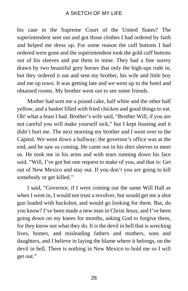his case in the Supreme Court of the United States? The superintendent sent out and got those clothes I had ordered by faith and helped me dress up. For some reason the cuff buttons I had ordered were gone and the superintendent took the gold cuff buttons out of his sleeves and put them in mine. They had a fine surrey drawn by two beautiful grey horses that only the high-ups rode in, but they ordered it out and sent my brother, his wife and little boy and me up town. It was getting late and we went up to the hotel and obtained rooms. My brother went out to see some friends.

Mother had sent me a pound cake, half white and the other half yellow, and a basket filled with fried chicken and good things to eat. Oh! what a feast I had. Brother's wife said, "Brother Will, if you are not careful you will make yourself sick," but I kept feasting and it didn't hurt me. The next morning my brother and I went over to the Capitol. We went down a hallway; the governor's office was at the end, and he saw us coming. He came out in his shirt sleeves to meet us. He took me in his arms and with tears running down his face said, "Will, I've got but one request to make of you, and that is: Get out of New Mexico and stay out. If you don't you are going to kill somebody or get killed."

I said, "Governor, if I were coming out the same Will Hall as when I went in, I would not trust a revolver, but would get me a shot gun loaded with buckshot, and would go looking for them. But, do you know? I've been made a new man in Christ Jesus, and I've been going down on my knees for months, asking God to forgive them, for they know not what they do. It is the devil in hell that is wrecking lives, homes, and misleading fathers and mothers, sons and daughters, and I believe in laying the blame where it belongs, on the devil in hell. There is nothing in New Mexico to hold me so I will get out."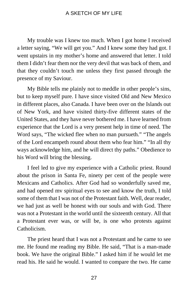My trouble was I knew too much. When I got home I received a letter saying, "We will get you." And I knew some they had got. I went upstairs in my mother's home and answered that letter. I told them I didn't fear them nor the very devil that was back of them, and that they couldn't touch me unless they first passed through the presence of my Saviour.

My Bible tells me plainly not to meddle in other people's sins, but to keep myself pure. I have since visited Old and New Mexico in different places, also Canada. I have been over on the Islands out of New York, and have visited thirty-five different states of the United States, and they have never bothered me. I have learned from experience that the Lord is a very present help in time of need. The Word says, "The wicked flee when no man pursueth." "The angels of the Lord encampeth round about them who fear him." "In all thy ways acknowledge him, and he will direct thy paths." Obedience to his Word will bring the blessing.

I feel led to give my experience with a Catholic priest. Round about the prison in Santa Fe, ninety per cent of the people were Mexicans and Catholics. After God had so wonderfully saved me, and had opened mv spiritual eyes to see and know the truth, I told some of them that I was not of the Protestant faith. Well, dear reader, we had just as well be honest with our souls and with God. There was not a Protestant in the world until the sixteenth century. All that a Protestant ever was, or will be, is one who protests against Catholicism.

The priest heard that I was not a Protestant and he came to see me. He found me reading my Bible. He said, "That is a man-made book. We have the original Bible." I asked him if he would let me read his. He said he would. I wanted to compare the two. He came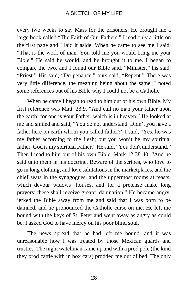every two weeks to say Mass for the prisoners. He brought me a large book called "The Faith of Our Fathers." I read only a little on the first page and I laid it aside. When he came to see me I said, "That is the work of man. You told me you would bring me your Bible." He said he would, and he brought it to me. I began to compare the two, and I found our Bible said, "Minister," his said, "Priest." His said, "Do penance." ours said, "Repent." There was very little difference, the meaning being about the same. I noted some references out of his Bible why I could not be a Catholic.

When he came I began to read to him out of his own Bible. My first reference was Matt. 23:9, "And call no man your father upon the earth: for one is your Father, which is in heaven." He looked at me and smiled and said, "You do not understand. Didn't you have a father here on earth whom you called father?" I said, "Yes, he was my father according to the flesh; but you won't be my spiritual father. God is my spiritual Father." He said, "You don't understand." Then I read to him out of his own Bible, Mark 12:38-40, "And he said unto them in his doctrine. Beware of the scribes, who love to go in long clothing, and love salutations in the marketplaces, and the chief seats in the synagogues, and the uppermost rooms at feasts: which devour widows' houses, and for a pretense make long prayers: these shall receive greater damnation." He became angry, jerked the Bible away from me and said that I was born to be damned, and he pronounced the Catholic curse on me. He left me bound with the keys of St. Peter and went away as angry as could be. I asked God to have mercy on his poor blind soul.

The news spread that he had left me bound, and it was unreasonable how I was treated by those Mexican guards and trusties. The night watchman came up and with a prod pole (the kind they prod cattle with in box cars) prodded me out of bed. The only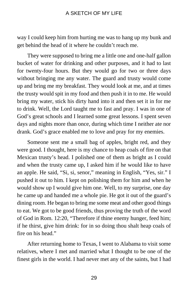way I could keep him from hurting me was to hang up my bunk and get behind the head of it where he couldn't reach me.

They were supposed to bring me a little one and one-half gallon bucket of water for drinking and other purposes, and it had to last for twenty-four hours. But they would go for two or three days without bringing me any water. The guard and trusty would come up and bring me my breakfast. They would look at me, and at times the trusty would spit in my food and then push it in to me. He would bring my water, stick his dirty hand into it and then set it in for me to drink. Well, the Lord taught me to fast and pray. I was in one of God's great schools and I learned some great lessons. I spent seven days and nights more than once, during which time I neither ate nor drank. God's grace enabled me to love and pray for my enemies.

Someone sent me a small bag of apples, bright red, and they were good. I thought, here is my chance to heap coals of fire on that Mexican trusty's head. I polished one of them as bright as I could and when the trusty came up, I asked him if he would like to have an apple. He said, "Si, si, senor," meaning in English, "Yes, sir." I pushed it out to him. I kept on polishing them for him and when he would show up I would give him one. Well, to my surprise, one day he came up and handed me a whole pie. He got it out of the guard's dining room. He began to bring me some meat and other good things to eat. We got to be good friends, thus proving the truth of the word of God in Rom. 12:20, "Therefore if thine enemy hunger, feed him; if he thirst, give him drink: for in so doing thou shalt heap coals of fire on his head."

After returning home to Texas, I went to Alabama to visit some relatives, where I met and married what I thought to be one of the finest girls in the world. I had never met any of the saints, but I had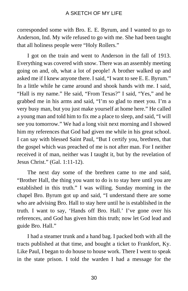corresponded some with Bro. E. E. Byrum, and I wanted to go to Anderson, Ind. My wife refused to go with me. She had been taught that all holiness people were "Holy Rollers."

I got on the train and went to Anderson in the fall of 1913. Everything was covered with snow. There was an assembly meeting going on and, oh, what a lot of people! A brother walked up and asked me if I knew anyone there. I said, "I want to see E. E. Byrum." In a little while he came around and shook hands with me. I said, "Hall is my name." He said, "From Texas?" I said, "Yes," and he grabbed me in his arms and said, "I'm so glad to meet you. I'm a very busy man, but you just make yourself at home here." He called a young man and told him to fix me a place to sleep, and said, "I will see you tomorrow." We had a long visit next morning and I showed him my references that God had given me while in his great school. I can say with blessed Saint Paul, "But I certify you, brethren, that the gospel which was preached of me is not after man. For I neither received it of man, neither was I taught it, but by the revelation of Jesus Christ." (Gal. 1:11-12).

The next day some of the brethren came to me and said, "Brother Hall, the thing you want to do is to stay here until you are established in this truth." I was willing. Sunday morning in the chapel Bro. Byrum got up and said, "I understand there are some who are advising Bro. Hall to stay here until he is established in the truth. I want to say, 'Hands off Bro. Hall.' I've gone over his references, and God has given him this truth; now let God lead and guide Bro. Hall."

I had a steamer trunk and a hand bag. I packed both with all the tracts published at that time, and bought a ticket to Frankfort, Ky. Like Paul, I began to do house to house work. There I went to speak in the state prison. I told the warden I had a message for the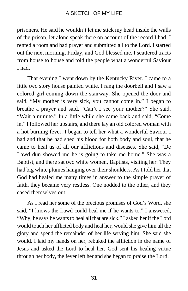prisoners. He said he wouldn't let me stick my head inside the walls of the prison, let alone speak there on account of the record I had. I rented a room and had prayer and submitted all to the Lord. I started out the next morning, Friday, and God blessed me. I scattered tracts from house to house and told the people what a wonderful Saviour I had.

That evening I went down by the Kentucky River. I came to a little two story house painted white. I rang the doorbell and I saw a colored girl coming down the stairway. She opened the door and said, "My mother is very sick, you cannot come in." I began to breathe a prayer and said, "Can't I see your mother?" She said, "Wait a minute." In a little while she came back and said, "Come in." I followed her upstairs, and there lay an old colored woman with a hot burning fever. I began to tell her what a wonderful Saviour I had and that he had shed his blood for both body and soul, that he came to heal us of all our afflictions and diseases. She said, "De Lawd dun showed me he is going to take me home." She was a Baptist, and there sat two white women, Baptists, visiting her. They had big white plumes hanging over their shoulders. As I told her that God had healed me many times in answer to the simple prayer of faith, they became very restless. One nodded to the other, and they eased themselves out.

As I read her some of the precious promises of God's Word, she said, "I knows the Lawd could heal me if he wants to." I answered, "Why, he says he wants to heal all that are sick." I asked her if the Lord would touch her afflicted body and heal her, would she give him all the glory and spend the remainder of her life serving him. She said she would. I laid my hands on her, rebuked the affliction in the name of Jesus and asked the Lord to heal her. God sent his healing virtue through her body, the fever left her and she began to praise the Lord.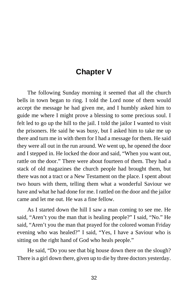# **Chapter V**

The following Sunday morning it seemed that all the church bells in town began to ring. I told the Lord none of them would accept the message he had given me, and I humbly asked him to guide me where I might prove a blessing to some precious soul. I felt led to go up the hill to the jail. I told the jailor I wanted to visit the prisoners. He said he was busy, but I asked him to take me up there and turn me in with them for I had a message for them. He said they were all out in the run around. We went up, he opened the door and I stepped in. He locked the door and said, "When you want out, rattle on the door." There were about fourteen of them. They had a stack of old magazines the church people had brought them, but there was not a tract or a New Testament on the place. I spent about two hours with them, telling them what a wonderful Saviour we have and what he had done for me. I rattled on the door and the jailor came and let me out. He was a fine fellow.

As I started down the hill I saw a man coming to see me. He said, "Aren't you the man that is healing people?" I said, "No." He said, "Aren't you the man that prayed for the colored woman Friday evening who was healed?" I said, "Yes, I have a Saviour who is sitting on the right hand of God who heals people."

He said, "Do you see that big house down there on the slough? There is a girl down there, given up to die by three doctors yesterday.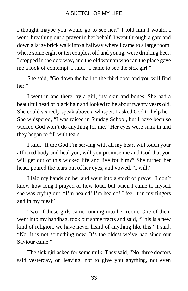I thought maybe you would go to see her." I told him I would. I went, breathing out a prayer in her behalf. I went through a gate and down a large brick walk into a hallway where I came to a large room, where some eight or ten couples, old and young, were drinking beer. I stopped in the doorway, and the old woman who ran the place gave me a look of contempt. I said, "I came to see the sick girl."

She said, "Go down the hall to the third door and you will find her"

I went in and there lay a girl, just skin and bones. She had a beautiful head of black hair and looked to be about twenty years old. She could scarcely speak above a whisper. I asked God to help her. She whispered, "I was raised in Sunday School, but I have been so wicked God won't do anything for me." Her eyes were sunk in and they began to fill with tears.

I said, "If the God I'm serving with all my heart will touch your afflicted body and heal you, will you promise me and God that you will get out of this wicked life and live for him?" She turned her head, poured the tears out of her eyes, and vowed, "I will."

I laid my hands on her and went into a spirit of prayer. I don't know how long I prayed or how loud, but when I came to myself she was crying out, "I'm healed! I'm healed! I feel it in my fingers and in my toes!"

Two of those girls came running into her room. One of them went into my handbag, took out some tracts and said, "This is a new kind of religion, we have never heard of anything like this." I said, "No, it is not something new. It's the oldest we've had since our Saviour came."

The sick girl asked for some milk. They said, "No, three doctors said yesterday, on leaving, not to give you anything, not even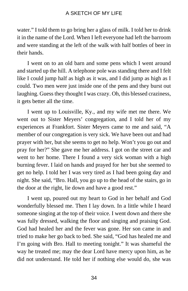water." I told them to go bring her a glass of milk. I told her to drink it in the name of the Lord. When I left everyone had left the barroom and were standing at the left of the walk with half bottles of beer in their hands.

I went on to an old barn and some pens which I went around and started up the hill. A telephone pole was standing there and I felt like I could jump half as high as it was, and I did jump as high as I could. Two men were just inside one of the pens and they burst out laughing. Guess they thought I was crazy. Oh, this blessed craziness, it gets better all the time.

I went up to Louisville, Ky., and my wife met me there. We went out to Sister Meyers' congregation, and I told her of my experiences at Frankfort. Sister Meyers came to me and said, "A member of our congregation is very sick. We have been out and had prayer with her, but she seems to get no help. Won't you go out and pray for her?" She gave me her address. I got on the street car and went to her home. There I found a very sick woman with a high burning fever. I laid on hands and prayed for her but she seemed to get no help. I told her I was very tired as I had been going day and night. She said, "Bro. Hall, you go up to the head of the stairs, go in the door at the right, lie down and have a good rest."

I went up, poured out my heart to God in her behalf and God wonderfully blessed me. Then I lay down. In a little while I heard someone singing at the top of their voice. I went down and there she was fully dressed, walking the floor and singing and praising God. God had healed her and the fever was gone. Her son came in and tried to make her go back to bed. She said, "God has healed me and I'm going with Bro. Hall to meeting tonight." It was shameful the way he treated me; may the dear Lord have mercy upon him, as he did not understand. He told her if nothing else would do, she was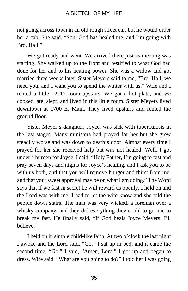not going across town in an old rough street car, but he would order her a cab. She said, "Son, God has healed me, and I'm going with Bro. Hall."

We got ready and went. We arrived there just as meeting was starting. She walked up to the front and testified to what God had done for her and to his healing power. She was a widow and got married three weeks later. Sister Meyers said to me, "Bro. Hall, we need you, and I want you to spend the winter with us." Wife and I rented a little 12x12 room upstairs. We got a hot plate, and we cooked, ate, slept, and lived in this little room. Sister Meyers lived downtown at 1700 E. Main. They lived upstairs and rented the ground floor.

Sister Meyer's daughter, Joyce, was sick with tuberculosis in the last stages. Many ministers had prayed for her but she grew steadily worse and was down to death's door. Almost every time I prayed for her she received help but was not healed. Well, I got under a burden for Joyce. I said, "Holy Father, I'm going to fast and pray seven days and nights for Joyce's healing, and I ask you to be with us both, and that you will remove hunger and thirst from me, and that your sweet approval may be on what I am doing." The Word says that if we fast in secret he will reward us openly. I held on and the Lord was with me. I had to let the wife know and she told the people down stairs. The man was very wicked, a foreman over a whisky company, and they did everything they could to get me to break my fast. He finally said, "If God heals Joyce Meyers, I'll believe."

I held on in simple child-like faith. At two o'clock the last night I awoke and the Lord said, "Go." I sat up in bed, and it came the second time, "Go." I said, "Amen, Lord." I got up and began to dress. Wife said, "What are you going to do?" I told her I was going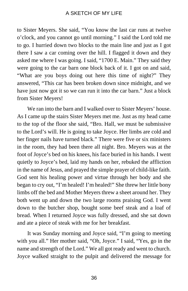to Sister Meyers. She said, "You know the last car runs at twelve o'clock, and you cannot go until morning." I said the Lord told me to go. I hurried down two blocks to the main line and just as I got there I saw a car coming over the hill. I flagged it down and they asked me where I was going. I said, "1700 E. Main." They said they were going to the car barn one block back of it. I got on and said, "What are you boys doing out here this time of night?" They answered, "This car has been broken down since midnight, and we have just now got it so we can run it into the car barn." Just a block from Sister Meyers!

We ran into the barn and I walked over to Sister Meyers' house. As I came up the stairs Sister Meyers met me. Just as my head came to the top of the floor she said, "Bro. Hall, we must be submissive to the Lord's will. He is going to take Joyce. Her limbs are cold and her finger nails have turned black." There were five or six ministers in the room, they had been there all night. Bro. Meyers was at the foot of Joyce's bed on his knees, his face buried in his hands. I went quietly to Joyce's bed, laid my hands on her, rebuked the affliction in the name of Jesus, and prayed the simple prayer of child-like faith. God sent his healing power and virtue through her body and she began to cry out, "I'm healed! I'm healed!" She threw her little bony limbs off the bed and Mother Meyers threw a sheet around her. They both went up and down the two large rooms praising God. I went down to the butcher shop, bought some beef steak and a loaf of bread. When I returned Joyce was fully dressed, and she sat down and ate a piece of steak with me for her breakfast.

It was Sunday morning and Joyce said, "I'm going to meeting with you all." Her mother said, "Oh, Joyce." I said, "Yes, go in the name and strength of the Lord." We all got ready and went to church. Joyce walked straight to the pulpit and delivered the message for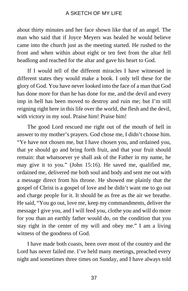about thirty minutes and her face shown like that of an angel. The man who said that if Joyce Meyers was healed he would believe came into the church just as the meeting started. He rushed to the front and when within about eight or ten feet from the altar fell headlong and reached for the altar and gave his heart to God.

If I would tell of the different miracles I have witnessed in different states they would make a book. I only tell these for the glory of God. You have never looked into the face of a man that God has done more for than he has done for me, and the devil and every imp in hell has been moved to destroy and ruin me; but I'm still reigning right here in this life over the world, the flesh and the devil, with victory in my soul. Praise him! Praise him!

The good Lord rescued me right out of the mouth of hell in answer to my mother's prayers. God chose me, I didn't choose him. "Ye have not chosen me, but I have chosen you, and ordained you, that ye should go and bring forth fruit, and that your fruit should remain: that whatsoever ye shall ask of the Father in my name, he may give it to you." (John 15:16). He saved me, qualified me, ordained me, delivered me both soul and body and sent me out with a message direct from his throne. He showed me plainly that the gospel of Christ is a gospel of love and he didn't want me to go out and charge people for it. It should be as free as the air we breathe. He said, "You go out, love me, keep my commandments, deliver the message I give you, and I will feed you, clothe you and will do more for you than an earthly father would do, on the condition that you stay right in the center of my will and obey me." I am a living witness of the goodness of God.

I have made both coasts, been over most of the country and the Lord has never failed me. I've held many meetings, preached every night and sometimes three times on Sunday, and I have always told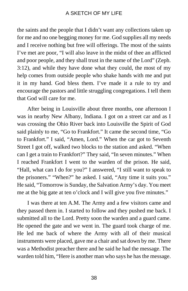the saints and the people that I didn't want any collections taken up for me and no one begging money for me. God supplies all my needs and I receive nothing but free will offerings. The most of the saints I've met are poor, "I will also leave in the midst of thee an afflicted and poor people, and they shall trust in the name of the Lord" (Zeph. 3:12), and while they have done what they could, the most of my help comes from outside people who shake hands with me and put it in my hand. God bless them. I've made it a rule to try and encourage the pastors and little struggling congregations. I tell them that God will care for me.

After being in Louisville about three months, one afternoon I was in nearby New Albany, Indiana. I got on a street car and as I was crossing the Ohio River back into Louisville the Spirit of God said plainly to me, "Go to Frankfort." It came the second time, "Go to Frankfort." I said, "Amen, Lord." When the car got to Seventh Street I got off, walked two blocks to the station and asked. "When can I get a train to Frankfort?" They said, "In seven minutes." When I reached Frankfort I went to the warden of the prison. He said, "Hall, what can I do for you?" I answered, "I still want to speak to the prisoners." "When?" he asked. I said, "Any time it suits you." He said, "Tomorrow is Sunday, the Salvation Army's day. You meet me at the big gate at ten o'clock and I will give you five minutes."

I was there at ten A.M. The Army and a few visitors came and they passed them in. I started to follow and they pushed me back. I submitted all to the Lord. Pretty soon the warden and a guard came. He opened the gate and we went in. The guard took charge of me. He led me back of where the Army with all of their musical instruments were placed, gave me a chair and sat down by me. There was a Methodist preacher there and he said he had the message. The warden told him, "Here is another man who says he has the message.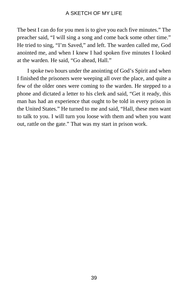The best I can do for you men is to give you each five minutes." The preacher said, "I will sing a song and come back some other time." He tried to sing, "I'm Saved," and left. The warden called me, God anointed me, and when I knew I had spoken five minutes I looked at the warden. He said, "Go ahead, Hall."

I spoke two hours under the anointing of God's Spirit and when I finished the prisoners were weeping all over the place, and quite a few of the older ones were coming to the warden. He stepped to a phone and dictated a letter to his clerk and said, "Get it ready, this man has had an experience that ought to be told in every prison in the United States." He turned to me and said, "Hall, these men want to talk to you. I will turn you loose with them and when you want out, rattle on the gate." That was my start in prison work.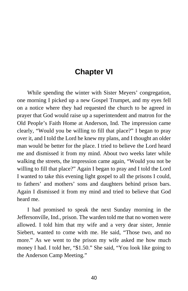# **Chapter VI**

While spending the winter with Sister Meyers' congregation, one morning I picked up a new Gospel Trumpet, and my eyes fell on a notice where they had requested the church to be agreed in prayer that God would raise up a superintendent and matron for the Old People's Faith Home at Anderson, Ind. The impression came clearly, "Would you be willing to fill that place?" I began to pray over it, and I told the Lord he knew my plans, and I thought an older man would be better for the place. I tried to believe the Lord heard me and dismissed it from my mind. About two weeks later while walking the streets, the impression came again, "Would you not be willing to fill that place?" Again I began to pray and I told the Lord I wanted to take this evening light gospel to all the prisons I could, to fathers' and mothers' sons and daughters behind prison bars. Again I dismissed it from my mind and tried to believe that God heard me.

I had promised to speak the next Sunday morning in the Jeffersonville, Ind., prison. The warden told me that no women were allowed. I told him that my wife and a very dear sister, Jennie Siebert, wanted to come with me. He said, "Those two, and no more." As we went to the prison my wife asked me how much money I had. I told her, "\$1.50." She said, "You look like going to the Anderson Camp Meeting."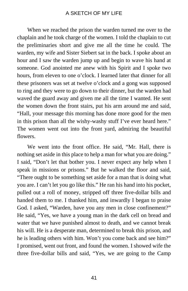When we reached the prison the warden turned me over to the chaplain and he took charge of the women. I told the chaplain to cut the preliminaries short and give me all the time he could. The warden, my wife and Sister Siebert sat in the back. I spoke about an hour and I saw the warden jump up and begin to wave his hand at someone. God anointed me anew with his Spirit and I spoke two hours, from eleven to one o'clock. I learned later that dinner for all these prisoners was set at twelve o'clock and a gong was supposed to ring and they were to go down to their dinner, but the warden had waved the guard away and given me all the time I wanted. He sent the women down the front stairs, put his arm around me and said, "Hall, your message this morning has done more good for the men in this prison than all the wishy-washy stuff I've ever heard here." The women went out into the front yard, admiring the beautiful flowers.

We went into the front office. He said, "Mr. Hall, there is nothing set aside in this place to help a man for what you are doing." I said, "Don't let that bother you. I never expect any help when I speak in missions or prisons." But he walked the floor and said, "There ought to be something set aside for a man that is doing what you are. I can't let you go like this." He ran his hand into his pocket, pulled out a roll of money, stripped off three five-dollar bills and handed them to me. I thanked him, and inwardly I began to praise God. I asked, "Warden, have you any men in close confinement?" He said, "Yes, we have a young man in the dark cell on bread and water that we have punished almost to death, and we cannot break his will. He is a desperate man, determined to break this prison, and he is leading others with him. Won't you come back and see him?" I promised, went out front, and found the women. I showed wife the three five-dollar bills and said, "Yes, we are going to the Camp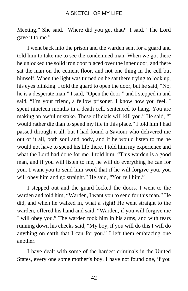Meeting." She said, "Where did you get that?" I said, "The Lord gave it to me."

I went back into the prison and the warden sent for a guard and told him to take me to see the condemned man. When we got there he unlocked the solid iron door placed over the inner door, and there sat the man on the cement floor, and not one thing in the cell but himself. When the light was turned on he sat there trying to look up, his eyes blinking. I told the guard to open the door, but he said, "No, he is a desperate man." I said, "Open the door," and I stepped in and said, "I'm your friend, a fellow prisoner. I know how you feel. I spent nineteen months in a death cell, sentenced to hang. You are making an awful mistake. These officials will kill you." He said, "I would rather die than to spend my life in this place." I told him I had passed through it all, but I had found a Saviour who delivered me out of it all, both soul and body, and if he would listen to me he would not have to spend his life there. I told him my experience and what the Lord had done for me. I told him, "This warden is a good man, and if you will listen to me, he will do everything he can for you. I want you to send him word that if he will forgive you, you will obey him and go straight." He said, "You tell him."

I stepped out and the guard locked the doors. I went to the warden and told him, "Warden, I want you to send for this man." He did, and when he walked in, what a sight! He went straight to the warden, offered his hand and said, "Warden, if you will forgive me I will obey you." The warden took him in his arms, and with tears running down his cheeks said, "My boy, if you will do this I will do anything on earth that I can for you." I left them embracing one another.

I have dealt with some of the hardest criminals in the United States, every one some mother's boy. I have not found one, if you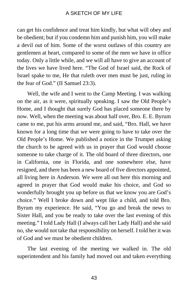can get his confidence and treat him kindly, but what will obey and be obedient; but if you condemn him and punish him, you will make a devil out of him. Some of the worst outlaws of this country are gentlemen at heart, compared to some of the men we have in office today. Only a little while, and we will all have to give an account of the lives we have lived here. "The God of Israel said, the Rock of Israel spake to me, He that ruleth over men must be just, ruling in the fear of God." (II Samuel 23:3).

Well, the wife and I went to the Camp Meeting. I was walking on the air, as it were, spiritually speaking. I saw the Old People's Home, and I thought that surely God has placed someone there by now. Well, when the meeting was about half over, Bro. E. E. Byrum came to me, put his arms around me, and said, "Bro. Hall, we have known for a long time that we were going to have to take over the Old People's Home. We published a notice in the Trumpet asking the church to be agreed with us in prayer that God would choose someone to take charge of it. The old board of three directors, one in California, one in Florida, and one somewhere else, have resigned, and there has been a new board of five directors appointed, all living here in Anderson. We were all out here this morning and agreed in prayer that God would make his choice, and God so wonderfully brought you up before us that we know you are God's choice." Well I broke down and wept like a child, and told Bro. Byrum my experience. He said, "You go and break the news to Sister Hall, and you be ready to take over the last evening of this meeting." I told Lady Hall (I always call her Lady Hall) and she said no, she would not take that responsibility on herself. I told her it was of God and we must be obedient children.

The last evening of the meeting we walked in. The old superintendent and his family had moved out and taken everything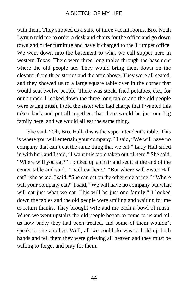with them. They showed us a suite of three vacant rooms. Bro. Noah Byrum told me to order a desk and chairs for the office and go down town and order furniture and have it charged to the Trumpet office. We went down into the basement to what we call supper here in western Texas. There were three long tables through the basement where the old people ate. They would bring them down on the elevator from three stories and the attic above. They were all seated, and they showed us to a large square table over in the corner that would seat twelve people. There was steak, fried potatoes, etc., for our supper. I looked down the three long tables and the old people were eating mush. I told the sister who had charge that I wanted this taken back and put all together, that there would be just one big family here, and we would all eat the same thing.

She said, "Oh, Bro. Hall, this is the superintendent's table. This is where you will entertain your company." I said, "We will have no company that can't eat the same thing that we eat." Lady Hall sided in with her, and I said, "I want this table taken out of here." She said, "Where will you eat?" I picked up a chair and set it at the end of the center table and said, "I will eat here." "But where will Sister Hall eat?" she asked. I said, "She can eat on the other side of me." "Where will your company eat?" I said, "We will have no company but what will eat just what we eat. This will be just one family." I looked down the tables and the old people were smiling and waiting for me to return thanks. They brought wife and me each a bowl of mush. When we went upstairs the old people began to come to us and tell us how badly they had been treated, and some of them wouldn't speak to one another. Well, all we could do was to hold up both hands and tell them they were grieving all heaven and they must be willing to forget and pray for them.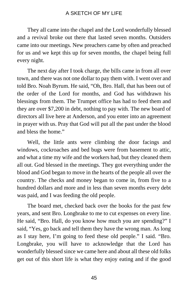They all came into the chapel and the Lord wonderfully blessed and a revival broke out there that lasted seven months. Outsiders came into our meetings. New preachers came by often and preached for us and we kept this up for seven months, the chapel being full every night.

The next day after I took charge, the bills came in from all over town, and there was not one dollar to pay them with. I went over and told Bro. Noah Byrum. He said, "Oh, Bro. Hall, that has been out of the order of the Lord for months, and God has withdrawn his blessings from them. The Trumpet office has had to feed them and they are over \$7,200 in debt, nothing to pay with. The new board of directors all live here at Anderson, and you enter into an agreement in prayer with us. Pray that God will put all the past under the blood and bless the home."

Well, the little ants were climbing the door facings and windows, cockroaches and bed bugs were from basement to attic, and what a time my wife and the workers had, but they cleaned them all out. God blessed in the meetings. They got everything under the blood and God began to move in the hearts of the people all over the country. The checks and money began to come in, from five to a hundred dollars and more and in less than seven months every debt was paid, and I was feeding the old people.

The board met, checked back over the books for the past few years, and sent Bro. Longbrake to me to cut expenses on every line. He said, "Bro. Hall, do you know how much you are spending?" I said, "Yes, go back and tell them they have the wrong man. As long as I stay here, I'm going to feed these old people." I said. "Bro. Longbrake, you will have to acknowledge that the Lord has wonderfully blessed since we came here and about all these old folks get out of this short life is what they enjoy eating and if the good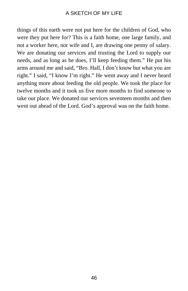things of this earth were not put here for the children of God, who were they put here for? This is a faith home, one large family, and not a worker here, nor wife and I, are drawing one penny of salary. We are donating our services and trusting the Lord to supply our needs, and as long as he does, I'll keep feeding them." He put his arms around me and said, "Bro. Hall, I don't know but what you are right." I said, "I know I'm right." He went away and I never heard anything more about feeding the old people. We took the place for twelve months and it took us five more months to find someone to take our place. We donated our services seventeen months and then went out ahead of the Lord. God's approval was on the faith home.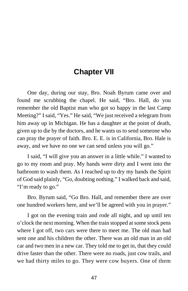# **Chapter VII**

One day, during our stay, Bro. Noah Byrum came over and found me scrubbing the chapel. He said, "Bro. Hall, do you remember the old Baptist man who got so happy in the last Camp Meeting?" I said, "Yes." He said, "We just received a telegram from him away up in Michigan. He has a daughter at the point of death, given up to die by the doctors, and he wants us to send someone who can pray the prayer of faith. Bro. E. E. is in California, Bro. Hale is away, and we have no one we can send unless you will go."

I said, "I will give you an answer in a little while." I wanted to go to my room and pray. My hands were dirty and I went into the bathroom to wash them. As I reached up to dry my hands the Spirit of God said plainly, "Go, doubting nothing." I walked back and said, "I'm ready to go."

Bro. Byrum said, "Go Bro. Hall, and remember there are over one hundred workers here, and we'll be agreed with you in prayer."

I got on the evening train and rode all night, and up until ten o'clock the next morning. When the train stopped at some stock pens where I got off, two cars were there to meet me. The old man had sent one and his children the other. There was an old man in an old car and two men in a new car. They told me to get in, that they could drive faster than the other. There were no roads, just cow trails, and we had thirty miles to go. They were cow buyers. One of them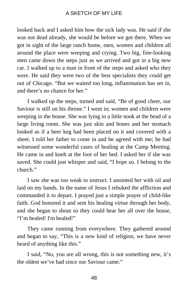looked back and I asked him how the sick lady was. He said if she was not dead already, she would be before we got there. When we got in sight of the large ranch home, men, women and children all around the place were weeping and crying. Two big, fine-looking men came down the steps just as we arrived and got in a big new car. I walked up to a man in front of the steps and asked who they were. He said they were two of the best specialists they could get out of Chicago. "But we waited too long, inflammation has set in, and there's no chance for her."

I walked up the steps, turned and said, "Be of good cheer, our Saviour is still on his throne." I went in; women and children were weeping in the house. She was lying in a little nook at the head of a large living room. She was just skin and bones and her stomach looked as if a beer keg had been placed on it and covered with a sheet. I told her father to come in and be agreed with me; he had witnessed some wonderful cases of healing at the Camp Meeting. He came in and knelt at the foot of her bed. I asked her if she was saved. She could just whisper and said, "I hope so. I belong to the church."

I saw she was too weak to instruct. I anointed her with oil and laid on my hands. In the name of Jesus I rebuked the affliction and commanded it to depart. I prayed just a simple prayer of child-like faith. God honored it and sent his healing virtue through her body, and she began to shout so they could hear her all over the house, "I'm healed! I'm healed!"

They came running from everywhere. They gathered around and began to say, "This is a new kind of religion, we have never heard of anything like this."

I said, "No, you are all wrong, this is not something new, it's the oldest we've had since our Saviour came."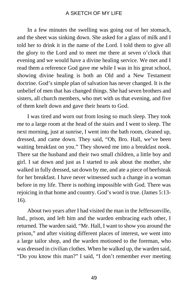In a few minutes the swelling was going out of her stomach, and the sheet was sinking down. She asked for a glass of milk and I told her to drink it in the name of the Lord. I told them to give all the glory to the Lord and to meet me there at seven o'clock that evening and we would have a divine healing service. We met and I read them a reference God gave me while I was in his great school, showing divine healing is both an Old and a New Testament doctrine. God's simple plan of salvation has never changed. It is the unbelief of men that has changed things. She had seven brothers and sisters, all church members, who met with us that evening, and five of them knelt down and gave their hearts to God.

I was tired and worn out from losing so much sleep. They took me to a large room at the head of the stairs and I went to sleep. The next morning, just at sunrise, I went into the bath room, cleaned up, dressed, and came down. They said, "Oh, Bro. Hall, we've been waiting breakfast on you." They showed me into a breakfast nook. There sat the husband and their two small children, a little boy and girl. I sat down and just as I started to ask about the mother, she walked in fully dressed, sat down by me, and ate a piece of beefsteak for her breakfast. I have never witnessed such a change in a woman before in my life. There is nothing impossible with God. There was rejoicing in that home and country. God's word is true. (James 5:13- 16).

About two years after I had visited the man in the Jeffersonville, Ind., prison, and left him and the warden embracing each other, I returned. The warden said, "Mr. Hall, I want to show you around the prison," and after visiting different places of interest, we went into a large tailor shop, and the warden motioned to the foreman, who was dressed in civilian clothes. When he walked up, the warden said, "Do you know this man?" I said, "I don't remember ever meeting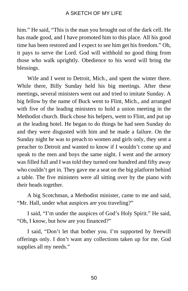him." He said, "This is the man you brought out of the dark cell. He has made good, and I have promoted him to this place. All his good time has been restored and I expect to see him get his freedom." Oh, it pays to serve the Lord. God will withhold no good thing from those who walk uprightly. Obedience to his word will bring the blessings.

Wife and I went to Detroit, Mich., and spent the winter there. While there, Billy Sunday held his big meetings. After these meetings, several ministers went out and tried to imitate Sunday. A big fellow by the name of Buck went to Flint, Mich., and arranged with five of the leading ministers to hold a union meeting in the Methodist church. Buck chose his helpers, went to Flint, and put up at the leading hotel. He began to do things he had seen Sunday do and they were disgusted with him and he made a failure. On the Sunday night he was to preach to women and girls only, they sent a preacher to Detroit and wanted to know if I wouldn't come up and speak to the men and boys the same night. I went and the armory was filled full and I was told they turned one hundred and fifty away who couldn't get in. They gave me a seat on the big platform behind a table. The five ministers were all sitting over by the piano with their heads together.

A big Scotchman, a Methodist minister, came to me and said, "Mr. Hall, under what auspices are you traveling?"

I said, "I'm under the auspices of God's Holy Spirit." He said, "Oh, I know, but how are you financed?"

I said, "Don't let that bother you. I'm supported by freewill offerings only. I don't want any collections taken up for me. God supplies all my needs."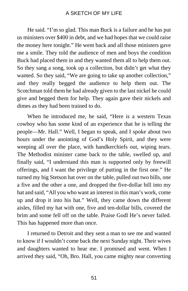He said. "I'm so glad. This man Buck is a failure and he has put us ministers over \$400 in debt, and we had hopes that we could raise the money here tonight." He went back and all those ministers gave me a smile. They told the audience of men and boys the condition Buck had placed them in and they wanted them all to help them out. So they sang a song, took up a collection, but didn't get what they wanted. So they said, "We are going to take up another collection," and they really begged the audience to help them out. The Scotchman told them he had already given to the last nickel he could give and begged them for help. They again gave their nickels and dimes as they had been trained to do.

When he introduced me, he said, "Here is a western Texas cowboy who has some kind of an experience that he is telling the people—Mr. Hall." Well, I began to speak, and I spoke about two hours under the anointing of God's Holy Spirit, and they were weeping all over the place, with handkerchiefs out, wiping tears. The Methodist minister came back to the table, swelled up, and finally said, "I understand this man is supported only by freewill offerings, and I want the privilege of putting in the first one." He turned my big Stetson hat over on the table, pulled out two bills, one a five and the other a one, and dropped the five-dollar bill into my hat and said, "All you who want an interest in this man's work, come up and drop it into his hat." Well, they came down the different aisles, filled my hat with one, five and ten-dollar bills, covered the brim and some fell off on the table. Praise Godl He's never failed. This has happened more than once.

I returned to Detroit and they sent a man to see me and wanted to know if I wouldn't come back the next Sunday night. Their wives and daughters wanted to hear me. I promised and went. When I arrived they said, "Oh, Bro. Hall, you came mighty near converting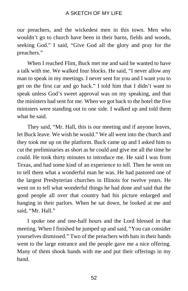our preachers, and the wickedest men in this town. Men who wouldn't go to church have been in their barns, fields and woods, seeking God." I said, "Give God all the glory and pray for the preachers."

When I reached Flint, Buck met me and said he wanted to have a talk with me. We walked four blocks. He said, "I never allow any man to speak in my meetings. I never sent for you and I want you to get on the first car and go back." I told him that I didn't want to speak unless God's sweet approval was on my speaking, and that the ministers had sent for me. When we got back to the hotel the five ministers were standing out to one side. I walked up and told them what he said.

They said, "Mr. Hall, this is our meeting and if anyone leaves, let Buck leave. We wish he would." We all went into the church and they took me up on the platform. Buck came up and I asked him to cut the preliminaries as short as he could and give me all the time he could. He took thirty minutes to introduce me. He said I was from Texas, and had some kind of an experience to tell. Then he went on to tell them what a wonderful man he was. He had pastored one of the largest Presbyterian churches in Illinois for twelve years. He went on to tell what wonderful things he had done and said that the good people all over that country had his picture enlarged and hanging in their parlors. When he sat down, he looked at me and said, "Mr. Hall."

I spoke one and one-half hours and the Lord blessed in that meeting. When I finished he jumped up and said, "You can consider yourselves dismissed." Two of the preachers with hats in their hands went to the large entrance and the people gave me a nice offering. Many of them shook hands with me and put their offerings in my hand.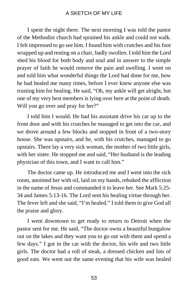I spent the night there. The next morning I was told the pastor of the Methodist church had sprained his ankle and could not walk. I felt impressed to go see him. I found him with crutches and his foot wrapped up and resting on a chair, badly swollen. I told him the Lord shed his blood for both body and soul and in answer to the simple prayer of faith he would remove the pain and swelling. I went on and told him what wonderful things the Lord had done for me, how he had healed me many times, before I ever knew anyone else was trusting him for healing. He said, "Oh, my ankle will get alright, but one of my very best members is lying over here at the point of death. Will you go over and pray for her?"

I told him I would. He had his assistant drive his car up to the front door and with his crutches he managed to get into the car, and we drove around a few blocks and stopped in front of a two-story house. She was upstairs, and he, with his crutches, managed to go upstairs. There lay a very sick woman, the mother of two little girls, with her sister. He stopped me and said, "Her husband is the leading physician of this town, and I want to call him."

The doctor came up. He introduced me and I went into the sick room, anointed her with oil, laid on my hands, rebuked the affliction in the name of Jesus and commanded it to leave her. See Mark 5:25- 34 and James 5:13-16. The Lord sent his healing virtue through her. The fever left and she said, "I'm healed." I told them to give God all the praise and glory.

I went downtown to get ready to return to Detroit when the pastor sent for me. He said, "The doctor owns a beautiful bungalow out on the lakes and they want you to go out with them and spend a few days." I got in the car with the doctor, his wife and two little girls. The doctor had a roll of steak, a dressed chicken and lots of good eats. We went out the same evening that his wife was healed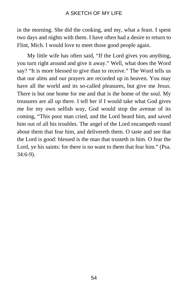in the morning. She did the cooking, and my, what a feast. I spent two days and nights with them. I have often had a desire to return to Flint, Mich. I would love to meet those good people again.

My little wife has often said, "If the Lord gives you anything, you turn right around and give it away." Well, what does the Word say? "It is more blessed to give than to receive." The Word tells us that our alms and our prayers are recorded up in heaven. You may have all the world and its so-called pleasures, but give me Jesus. There is but one home for me and that is the home of the soul. My treasures are all up there. I tell her if I would take what God gives me for my own selfish way, God would stop the avenue of its coming, "This poor man cried, and the Lord heard him, and saved him out of all his troubles. The angel of the Lord encampeth round about them that fear him, and delivereth them. O taste and see that the Lord is good: blessed is the man that trusteth in him. O fear the Lord, ye his saints: for there is no want to them that fear him." (Psa. 34:6-9).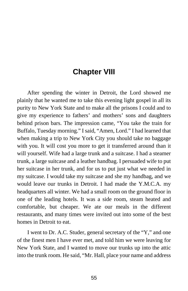# **Chapter VIII**

After spending the winter in Detroit, the Lord showed me plainly that he wanted me to take this evening light gospel in all its purity to New York State and to make all the prisons I could and to give my experience to fathers' and mothers' sons and daughters behind prison bars. The impression came, "You take the train for Buffalo, Tuesday morning." I said, "Amen, Lord." I had learned that when making a trip to New York City you should take no baggage with you. It will cost you more to get it transferred around than it will yourself. Wife had a large trunk and a suitcase. I had a steamer trunk, a large suitcase and a leather handbag. I persuaded wife to put her suitcase in her trunk, and for us to put just what we needed in my suitcase. I would take my suitcase and she my handbag, and we would leave our trunks in Detroit. I had made the Y.M.C.A. my headquarters all winter. We had a small room on the ground floor in one of the leading hotels. It was a side room, steam heated and comfortable, but cheaper. We ate our meals in the different restaurants, and many times were invited out into some of the best homes in Detroit to eat.

I went to Dr. A.C. Studer, general secretary of the "Y," and one of the finest men I have ever met, and told him we were leaving for New York State, and I wanted to move our trunks up into the attic into the trunk room. He said, "Mr. Hall, place your name and address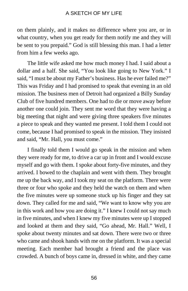on them plainly, and it makes no difference where you are, or in what country, when you get ready for them notify me and they will be sent to you prepaid." God is still blessing this man. I had a letter from him a few weeks ago.

The little wife asked me how much money I had. I said about a dollar and a half. She said, "You look like going to New York." I said, "I must be about my Father's business. Has he ever failed me?" This was Friday and I had promised to speak that evening in an old mission. The business men of Detroit had organized a Billy Sunday Club of five hundred members. One had to die or move away before another one could join. They sent me word that they were having a big meeting that night and were giving three speakers five minutes a piece to speak and they wanted me present. I told them I could not come, because I had promised to speak in the mission. They insisted and said, "Mr. Hall, you must come."

I finally told them I would go speak in the mission and when they were ready for me, to drive a car up in front and I would excuse myself and go with them. I spoke about forty-five minutes, and they arrived. I bowed to the chaplain and went with them. They brought me up the back way, and I took my seat on the platform. There were three or four who spoke and they held the watch on them and when the five minutes were up someone stuck up his finger and they sat down. They called for me and said, "We want to know why you are in this work and how you are doing it." I knew I could not say much in five minutes, and when I knew my five minutes were up I stopped and looked at them and they said, "Go ahead, Mr. Hall." Well, I spoke about twenty minutes and sat down. There were two or three who came and shook hands with me on the platform. It was a special meeting. Each member had brought a friend and the place was crowded. A bunch of boys came in, dressed in white, and they came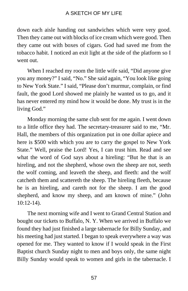down each aisle handing out sandwiches which were very good. Then they came out with blocks of ice cream which were good. Then they came out with boxes of cigars. God had saved me from the tobacco habit. I noticed an exit light at the side of the platform so I went out.

When I reached my room the little wife said, "Did anyone give you any money?" I said, "No." She said again, "You look like going to New York State." I said, "Please don't murmur, complain, or find fault, the good Lord showed me plainly he wanted us to go, and it has never entered my mind how it would be done. My trust is in the living God."

Monday morning the same club sent for me again. I went down to a little office they had. The secretary-treasurer said to me, "Mr. Hall, the members of this organization put in one dollar apiece and here is \$500 with which you are to carry the gospel to New York State." Well, praise the Lord! Yes, I can trust him. Read and see what the word of God says about a hireling: "But he that is an hireling, and not the shepherd, whose own the sheep are not, seeth the wolf coming, and leaveth the sheep, and fleeth: and the wolf catcheth them and scattereth the sheep. The hireling fleeth, because he is an hireling, and careth not for the sheep. I am the good shepherd, and know my sheep, and am known of mine." (John 10:12-14).

The next morning wife and I went to Grand Central Station and bought our tickets to Buffalo, N. Y. When we arrived in Buffalo we found they had just finished a large tabernacle for Billy Sunday, and his meeting had just started. I began to speak everywhere a way was opened for me. They wanted to know if I would speak in the First Baptist church Sunday night to men and boys only, the same night Billy Sunday would speak to women and girls in the tabernacle. I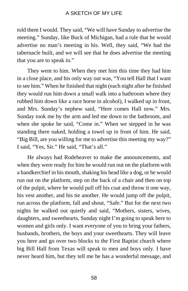told them I would. They said, "We will have Sunday to advertise the meeting." Sunday, like Buck of Michigan, had a rule that he would advertise no man's meeting in his. Well, they said, "We had the tabernacle built, and we will see that he does advertise the meeting that you are to speak in."

They went to him. When they met him this time they had him in a close place, and his only way out was, "You tell Hall that I want to see him." When he finished that night (each night after he finished they would run him down a small walk into a bathroom where they rubbed him down like a race horse in alcohol), I walked up in front, and Mrs. Sunday's nephew said, "Here comes Hall now." Mrs. Sunday took me by the arm and led me down to the bathroom, and when she spoke he said, "Come in." When we stepped in he was standing there naked, holding a towel up in front of him. He said, "Big Bill, are you willing for me to advertise this meeting my way?" I said, "Yes, Sir." He said, "That's all."

He always had Rodeheaver to make the announcements, and when they were ready for him he would run out on the platform with a handkerchief in his mouth, shaking his head like a dog, or he would run out on the platform, step on the back of a chair and then on top of the pulpit, where he would pull off his coat and throw it one way, his vest another, and his tie another. He would jump off the pulpit, run across the platform, fall and shout, "Safe." But for the next two nights he walked out quietly and said, "Mothers, sisters, wives, daughters, and sweethearts, Sunday night I'm going to speak here to women and girls only. I want everyone of you to bring your fathers, husbands, brothers, the boys and your sweethearts. They will leave you here and go over two blocks to the First Baptist church where big Bill Hall from Texas will speak to men and boys only. I have never heard him, but they tell me he has a wonderful message, and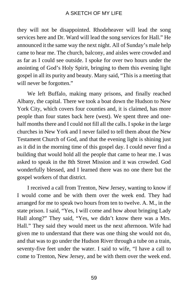they will not be disappointed. Rhodeheaver will lead the song services here and Dr. Ward will lead the song services for Hall." He announced it the same way the next night. All of Sunday's male help came to hear me. The church, balcony, and aisles were crowded and as far as I could see outside. I spoke for over two hours under the anointing of God's Holy Spirit, bringing to them this evening light gospel in all its purity and beauty. Many said, "This is a meeting that will never be forgotten."

We left Buffalo, making many prisons, and finally reached Albany, the capital. There we took a boat down the Hudson to New York City, which covers four counties and, it is claimed, has more people than four states back here (west). We spent three and onehalf months there and I could not fill all the calls. I spoke in the large churches in New York and I never failed to tell them about the New Testament Church of God, and that the evening light is shining just as it did in the morning time of this gospel day. I could never find a building that would hold all the people that came to hear me. I was asked to speak in the 8th Street Mission and it was crowded. God wonderfully blessed, and I learned there was no one there but the gospel workers of that district.

I received a call from Trenton, New Jersey, wanting to know if I would come and be with them over the week end. They had arranged for me to speak two hours from ten to twelve. A. M., in the state prison. I said, "Yes, I will come and how about bringing Lady Hall along?" They said, "Yes, we didn't know there was a Mrs. Hall." They said they would meet us the next afternoon. Wife had given me to understand that there was one thing she would not do, and that was to go under the Hudson River through a tube on a train, seventy-five feet under the water. I said to wife, "I have a call to come to Trenton, New Jersey, and be with them over the week end.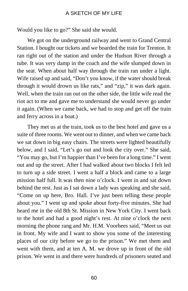Would you like to go?" She said she would.

We got on the underground railway and went to Grand Central Station. I bought our tickets and we boarded the train for Trenton. It ran right out of the station and under the Hudson River through a tube. It was very damp in the coach and the wife slumped down in the seat. When about half way through the train ran under a light. Wife raised up and said, "Don't you know, if the water should break through it would drown us like rats," and "zip," it was dark again. Well, when the train ran out on the other side, the little wife read the riot act to me and gave me to understand she would never go under it again. (When we came back, we had to stop and get off the train and ferry across in a boat.)

They met us at the train, took us to the best hotel and gave us a suite of three rooms. We went out to dinner, and when we came back we sat down in big easy chairs. The streets were lighted beautifully below, and I said, "Let's go out and look the city over." She said, "You may go, but I'm happier than I've been for a long time." I went out and up the street. After I had walked about two blocks I felt led to turn up a side street. I went a half a block and came to a large mission half full. It was then nine o'clock. I went in and sat down behind the rest. Just as I sat down a lady was speaking and she said, "Come on up here, Bro. Hall. I've just been telling these people about you." I went up and spoke about forty-five minutes. She had heard me in the old 8th St. Mission in New York City. I went back to the hotel and had a good night's rest. At nine o'clock the next morning the phone rang and Mr. H.M. Voorhees said, "Meet us out in front. My wife and I want to show you some of the interesting places of our city before we go to the prison." We met them and went with them, and at ten A. M. we drove up in front of the old prison. We went in and there were hundreds of prisoners seated and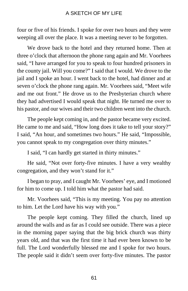four or five of his friends. I spoke for over two hours and they were weeping all over the place. It was a meeting never to be forgotten.

We drove back to the hotel and they returned home. Then at three o'clock that afternoon the phone rang again and Mr. Voorhees said, "I have arranged for you to speak to four hundred prisoners in the county jail. Will you come?" I said that I would. We drove to the jail and I spoke an hour. I went back to the hotel, had dinner and at seven o'clock the phone rang again. Mr. Voorhees said, "Meet wife and me out front." He drove us to the Presbyterian church where they had advertised I would speak that night. He turned me over to his pastor, and our wives and their two children went into the church.

The people kept coming in, and the pastor became very excited. He came to me and said, "How long does it take to tell your story?" I said, "An hour, and sometimes two hours." He said, "Impossible, you cannot speak to my congregation over thirty minutes."

I said, "I can hardly get started in thirty minutes."

He said, "Not over forty-five minutes. I have a very wealthy congregation, and they won't stand for it."

I began to pray, and I caught Mr. Voorhees' eye, and I motioned for him to come up. I told him what the pastor had said.

Mr. Voorhees said, "This is my meeting. You pay no attention to him. Let the Lord have his way with you."

The people kept coming. They filled the church, lined up around the walls and as far as I could see outside. There was a piece in the morning paper saying that the big brick church was thirty years old, and that was the first time it had ever been known to be full. The Lord wonderfully blessed me and I spoke for two hours. The people said it didn't seem over forty-five minutes. The pastor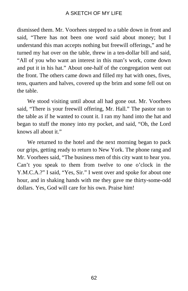dismissed them. Mr. Voorhees stepped to a table down in front and said, "There has not been one word said about money; but I understand this man accepts nothing but freewill offerings," and he turned my hat over on the table, threw in a ten-dollar bill and said, "All of you who want an interest in this man's work, come down and put it in his hat." About one-half of the congregation went out the front. The others came down and filled my hat with ones, fives, tens, quarters and halves, covered up the brim and some fell out on the table.

We stood visiting until about all had gone out. Mr. Voorhees said, "There is your freewill offering, Mr. Hall." The pastor ran to the table as if he wanted to count it. I ran my hand into the hat and began to stuff the money into my pocket, and said, "Oh, the Lord knows all about it."

We returned to the hotel and the next morning began to pack our grips, getting ready to return to New York. The phone rang and Mr. Voorhees said, "The business men of this city want to hear you. Can't you speak to them from twelve to one o'clock in the Y.M.C.A.?" I said, "Yes, Sir." I went over and spoke for about one hour, and in shaking hands with me they gave me thirty-some-odd dollars. Yes, God will care for his own. Praise him!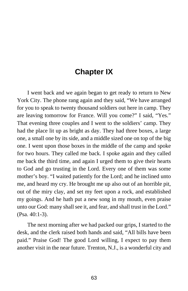# **Chapter IX**

I went back and we again began to get ready to return to New York City. The phone rang again and they said, "We have arranged for you to speak to twenty thousand soldiers out here in camp. They are leaving tomorrow for France. Will you come?" I said, "Yes." That evening three couples and I went to the soldiers' camp. They had the place lit up as bright as day. They had three boxes, a large one, a small one by its side, and a middle sized one on top of the big one. I went upon those boxes in the middle of the camp and spoke for two hours. They called me back. I spoke again and they called me back the third time, and again I urged them to give their hearts to God and go trusting in the Lord. Every one of them was some mother's boy. "I waited patiently for the Lord; and he inclined unto me, and heard my cry. He brought me up also out of an horrible pit, out of the miry clay, and set my feet upon a rock, and established my goings. And he hath put a new song in my mouth, even praise unto our God: many shall see it, and fear, and shall trust in the Lord." (Psa. 40:1-3).

The next morning after we had packed our grips, I started to the desk, and the clerk raised both hands and said, "All bills have been paid." Praise God! The good Lord willing, I expect to pay them another visit in the near future. Trenton, N.J., is a wonderful city and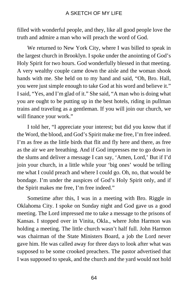filled with wonderful people, and they, like all good people love the truth and admire a man who will preach the word of God.

We returned to New York City, where I was billed to speak in the largest church in Brooklyn. I spoke under the anointing of God's Holy Spirit for two hours. God wonderfully blessed in that meeting. A very wealthy couple came down the aisle and the woman shook hands with me. She held on to my hand and said, "Oh, Bro. Hall, you were just simple enough to take God at his word and believe it." I said, "Yes, and I'm glad of it." She said, "A man who is doing what you are ought to be putting up in the best hotels, riding in pullman trains and traveling as a gentleman. If you will join our church, we will finance your work."

I told her, "I appreciate your interest; but did you know that if the Word, the blood, and God's Spirit make me free, I'm free indeed. I'm as free as the little birds that flit and fly here and there, as free as the air we are breathing. And if God impresses me to go down in the slums and deliver a message I can say, 'Amen, Lord,' But if I'd join your church, in a little while your 'big ones' would be telling me what I could preach and where I could go. Oh, no, that would be bondage. I'm under the auspices of God's Holy Spirit only, and if the Spirit makes me free, I'm free indeed."

Sometime after this, I was in a meeting with Bro. Riggle in Oklahoma City. I spoke on Sunday night and God gave us a good meeting. The Lord impressed me to take a message to the prisons of Kansas. I stopped over in Vinita, Okla., where John Harmon was holding a meeting. The little church wasn't half full. John Harmon was chairman of the State Ministers Board, a job the Lord never gave him. He was called away for three days to look after what was supposed to be some crooked preachers. The pastor advertised that I was supposed to speak, and the church and the yard would not hold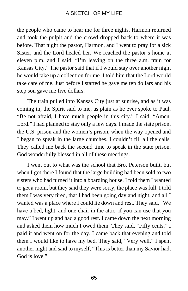the people who came to hear me for three nights. Harmon returned and took the pulpit and the crowd dropped back to where it was before. That night the pastor, Harmon, and I went to pray for a sick Sister, and the Lord healed her. We reached the pastor's home at eleven p.m. and I said, "I'm leaving on the three a.m. train for Kansas City." The pastor said that if I would stay over another night he would take up a collection for me. I told him that the Lord would take care of me. Just before I started he gave me ten dollars and his step son gave me five dollars.

The train pulled into Kansas City just at sunrise, and as it was coming in, the Spirit said to me, as plain as he ever spoke to Paul, "Be not afraid, I have much people in this city." I said, "Amen, Lord." I had planned to stay only a few days. I made the state prison, the U.S. prison and the women's prison, when the way opened and I began to speak in the large churches. I couldn't fill all the calls. They called me back the second time to speak in the state prison. God wonderfully blessed in all of these meetings.

I went out to what was the school that Bro. Peterson built, but when I got there I found that the large building had been sold to two sisters who had turned it into a boarding house. I told them I wanted to get a room, but they said they were sorry, the place was full. I told them I was very tired, that I had been going day and night, and all I wanted was a place where I could lie down and rest. They said, "We have a bed, light, and one chair in the attic; if you can use that you may." I went up and had a good rest. I came down the next morning and asked them how much I owed them. They said, "Fifty cents." I paid it and went on for the day. I came back that evening and told them I would like to have my bed. They said, "Very well." I spent another night and said to myself, "This is better than my Savior had, God is love."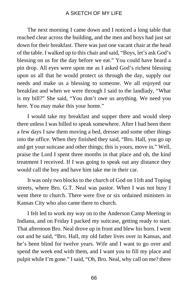The next morning I came down and I noticed a long table that reached clear across the building, and the men and boys had just sat down for their breakfast. There was just one vacant chair at the head of the table. I walked up to this chair and said, "Boys, let's ask God's blessing on us for the day before we eat." You could have heard a pin drop. All eyes were upon me as I asked God's richest blessing upon us all that he would protect us through the day, supply our needs and make us a blessing to someone. We all enjoyed our breakfast and when we were through I said to the landlady, "What is my bill?" She said, "You don't owe us anything. We need you here. You may make this your home."

I would take my breakfast and supper there and would sleep there unless I was billed to speak somewhere. After I had been there a few days I saw them moving a bed, dresser and some other things into the office. When they finished they said, "Bro. Hall, you go up and get your suitcase and other things; this is yours, move in." Well, praise the Lord I spent three months in that place and oh, the kind treatment I received. If I was going to speak out any distance they would call the boy and have him take me in their car.

It was only two blocks to the church of God on 11th and Toping streets, where Bro. G.T. Neal was pastor. When I was not busy I went there to church. There were five or six ordained ministers in Kansas City who also came there to church.

I felt led to work my way on to the Anderson Camp Meeting in Indiana, and on Friday I packed my suitcase, getting ready to start. That afternoon Bro. Neal drove up in front and blew his horn. I went out and he said, "Bro. Hall, my old father lives over in Kansas, and he's been blind for twelve years. Wife and I want to go over and spend the week end with them, and I want you to fill my place and pulpit while I'm gone." I said, "Oh, Bro. Neal, why call on me? there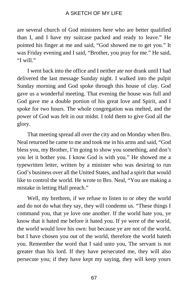are several church of God ministers here who are better qualified than I, and I have my suitcase packed and ready to leave." He pointed his finger at me and said, "God showed me to get you." It was Friday evening and I said, "Brother, you pray for me." He said, "I will."

I went back into the office and I neither ate nor drank until I had delivered the last message Sunday night. I walked into the pulpit Sunday morning and God spoke through this house of clay. God gave us a wonderful meeting. That evening the house was full and God gave me a double portion of his great love and Spirit, and I spoke for two hours. The whole congregation was melted, and the power of God was felt in our midst. I told them to give God all the glory.

That meeting spread all over the city and on Monday when Bro. Neal returned he came to me and took me in his arms and said, "God bless you, my Brother, I'm going to show you something, and don't you let it bother you. I know God is with you." He showed me a typewritten letter, written by a minister who was desiring to run God's business over all the United States, and had a spirit that would like to control the world. He wrote to Bro. Neal, "You are making a mistake in letting Hall preach."

Well, my brethren, if we refuse to listen to or obey the world and do not do what they say, they will condemn us. "These things I command you, that ye love one another. If the world hate you, ye know that it hated me before it hated you. If ye were of the world, the world would love his own: but because ye are not of the world, but I have chosen you out of the world, therefore the world hateth you. Remember the word that I said unto you, The servant is not greater than his lord. If they have persecuted me, they will also persecute you; if they have kept my saying, they will keep yours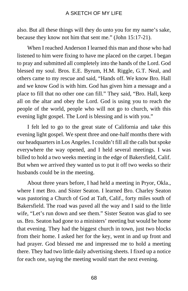also. But all these things will they do unto you for my name's sake, because they know not him that sent me." (John 15:17-21).

When I reached Anderson I learned this man and those who had listened to him were fixing to have me placed on the carpet. I began to pray and submitted all completely into the hands of the Lord. God blessed my soul. Bros. E.E. Byrum, H.M. Riggle, G.T. Neal, and others came to my rescue and said, "Hands off. We know Bro. Hall and we know God is with him. God has given him a message and a place to fill that no other one can fill." They said, "Bro. Hall, keep all on the altar and obey the Lord. God is using you to reach the people of the world, people who will not go to church, with this evening light gospel. The Lord is blessing and is with you."

I felt led to go to the great state of California and take this evening light gospel. We spent three and one-half months there with our headquarters in Los Angeles. I couldn't fill all the calls but spoke everywhere the way opened, and I held several meetings. I was billed to hold a two weeks meeting in the edge of Bakersfield, Calif. But when we arrived they wanted us to put it off two weeks so their husbands could be in the meeting.

About three years before, I had held a meeting in Pryor, Okla., where I met Bro. and Sister Seaton. I learned Bro. Charley Seaton was pastoring a Church of God at Taft, Calif., forty miles south of Bakersfield. The road was paved all the way and I said to the little wife, "Let's run down and see them." Sister Seaton was glad to see us. Bro. Seaton had gone to a ministers' meeting but would be home that evening. They had the biggest church in town, just two blocks from their home. I asked her for the key, went in and up front and had prayer. God blessed me and impressed me to hold a meeting there. They had two little daily advertising sheets. I fixed up a notice for each one, saying the meeting would start the next evening.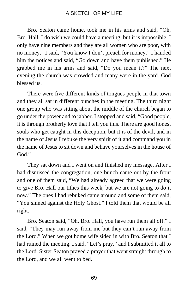Bro. Seaton came home, took me in his arms and said, "Oh, Bro. Hall, I do wish we could have a meeting, but it is impossible. I only have nine members and they are all women who are poor, with no money." I said, "You know I don't preach for money." I handed him the notices and said, "Go down and have them published." He grabbed me in his arms and said, "Do you mean it?" The next evening the church was crowded and many were in the yard. God blessed us.

There were five different kinds of tongues people in that town and they all sat in different bunches in the meeting. The third night one group who was sitting about the middle of the church began to go under the power and to jabber. I stopped and said, "Good people, it is through brotherly love that I tell you this. There are good honest souls who get caught in this deception, but it is of the devil, and in the name of Jesus I rebuke the very spirit of it and command you in the name of Jesus to sit down and behave yourselves in the house of  $God$ "

They sat down and I went on and finished my message. After I had dismissed the congregation, one bunch came out by the front and one of them said, "We had already agreed that we were going to give Bro. Hall our tithes this week, but we are not going to do it now." The ones I had rebuked came around and some of them said, "You sinned against the Holy Ghost." I told them that would be all right.

Bro. Seaton said, "Oh, Bro. Hall, you have run them all off." I said, "They may run away from me but they can't run away from the Lord." When we got home wife sided in with Bro. Seaton that I had ruined the meeting. I said, "Let's pray," and I submitted it all to the Lord. Sister Seaton prayed a prayer that went straight through to the Lord, and we all went to bed.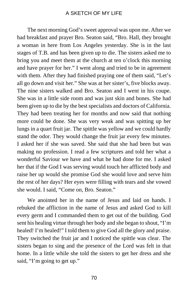The next morning God's sweet approval was upon me. After we had breakfast and prayer Bro. Seaton said, "Bro. Hall, they brought a woman in here from Los Angeles yesterday. She is in the last stages of T.B. and has been given up to die. The sisters asked me to bring you and meet them at the church at ten o'clock this morning and have prayer for her." I went along and tried to be in agreement with them. After they had finished praying one of them said, "Let's all go down and visit her." She was at her sister's, five blocks away. The nine sisters walked and Bro. Seaton and I went in his coupe. She was in a little side room and was just skin and bones. She had been given up to die by the best specialists and doctors of California. They had been treating her for months and now said that nothing more could be done. She was very weak and was spitting up her lungs in a quart fruit jar. The spittle was yellow and we could hardly stand the odor. They would change the fruit jar every few minutes. I asked her if she was saved. She said that she had been but was making no profession. I read a few scriptures and told her what a wonderful Saviour we have and what he had done for me. I asked her that if the God I was serving would touch her afflicted body and raise her up would she promise God she would love and serve him the rest of her days? Her eyes were filling with tears and she vowed she would. I said, "Come on, Bro. Seaton."

We anointed her in the name of Jesus and laid on hands. I rebuked the affliction in the name of Jesus and asked God to kill every germ and I commanded them to get out of the building. God sent his healing virtue through her body and she began to shout, "I'm healed! I'm healed!" I told them to give God all the glory and praise. They switched the fruit jar and I noticed the spittle was clear. The sisters began to sing and the presence of the Lord was felt in that home. In a little while she told the sisters to get her dress and she said, "I'm going to get up."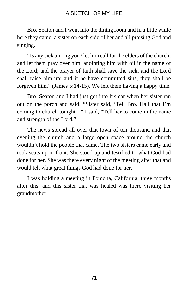Bro. Seaton and I went into the dining room and in a little while here they came, a sister on each side of her and all praising God and singing.

"Is any sick among you? let him call for the elders of the church; and let them pray over him, anointing him with oil in the name of the Lord; and the prayer of faith shall save the sick, and the Lord shall raise him up; and if he have committed sins, they shall be forgiven him." (James 5:14-15). We left them having a happy time.

Bro. Seaton and I had just got into his car when her sister ran out on the porch and said, "Sister said, 'Tell Bro. Hall that I'm coming to church tonight.' " I said, "Tell her to come in the name and strength of the Lord."

The news spread all over that town of ten thousand and that evening the church and a large open space around the church wouldn't hold the people that came. The two sisters came early and took seats up in front. She stood up and testified to what God had done for her. She was there every night of the meeting after that and would tell what great things God had done for her.

I was holding a meeting in Pomona, California, three months after this, and this sister that was healed was there visiting her grandmother.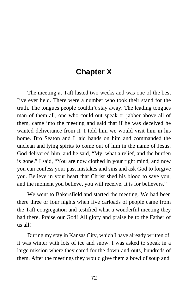# **Chapter X**

The meeting at Taft lasted two weeks and was one of the best I've ever held. There were a number who took their stand for the truth. The tongues people couldn't stay away. The leading tongues man of them all, one who could out speak or jabber above all of them, came into the meeting and said that if he was deceived he wanted deliverance from it. I told him we would visit him in his home. Bro Seaton and I laid hands on him and commanded the unclean and lying spirits to come out of him in the name of Jesus. God delivered him, and he said, "My, what a relief, and the burden is gone." I said, "You are now clothed in your right mind, and now you can confess your past mistakes and sins and ask God to forgive you. Believe in your heart that Christ shed his blood to save you, and the moment you believe, you will receive. It is for believers."

We went to Bakersfield and started the meeting. We had been there three or four nights when five carloads of people came from the Taft congregation and testified what a wonderful meeting they had there. Praise our God! All glory and praise be to the Father of us all!

During my stay in Kansas City, which I have already written of, it was winter with lots of ice and snow. I was asked to speak in a large mission where they cared for the down-and-outs, hundreds of them. After the meetings they would give them a bowl of soup and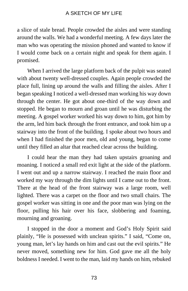a slice of stale bread. People crowded the aisles and were standing around the walls. We had a wonderful meeting. A few days later the man who was operating the mission phoned and wanted to know if I would come back on a certain night and speak for them again. I promised.

When I arrived the large platform back of the pulpit was seated with about twenty well-dressed couples. Again people crowded the place full, lining up around the walls and filling the aisles. After I began speaking I noticed a well-dressed man working his way down through the center. He got about one-third of the way down and stopped. He began to mourn and groan until he was disturbing the meeting. A gospel worker worked his way down to him, got him by the arm, led him back through the front entrance, and took him up a stairway into the front of the building. I spoke about two hours and when I had finished the poor men, old and young, began to come until they filled an altar that reached clear across the building.

I could hear the man they had taken upstairs groaning and moaning. I noticed a small red exit light at the side of the platform. I went out and up a narrow stairway. I reached the main floor and worked my way through the dim lights until I came out to the front. There at the head of the front stairway was a large room, well lighted. There was a carpet on the floor and two small chairs. The gospel worker was sitting in one and the poor man was lying on the floor, pulling his hair over his face, slobbering and foaming, mourning and groaning.

I stopped in the door a moment and God's Holy Spirit said plainly, "He is possessed with unclean spirits." I said, "Come on, young man, let's lay hands on him and cast out the evil spirits." He never moved, something new for him. God gave me all the holy boldness I needed. I went to the man, laid my hands on him, rebuked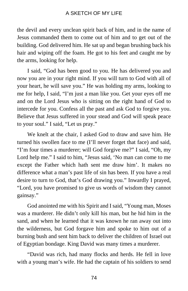the devil and every unclean spirit back of him, and in the name of Jesus commanded them to come out of him and to get out of the building. God delivered him. He sat up and began brushing back his hair and wiping off the foam. He got to his feet and caught me by the arms, looking for help.

I said, "God has been good to you. He has delivered you and now you are in your right mind. If you will turn to God with all of your heart, he will save you." He was holding my arms, looking to me for help, I said, "I'm just a man like you. Get your eyes off me and on the Lord Jesus who is sitting on the right hand of God to intercede for you. Confess all the past and ask God to forgive you. Believe that Jesus suffered in your stead and God will speak peace to your soul." I said, "Let us pray."

We knelt at the chair, I asked God to draw and save him. He turned his swollen face to me (I'll never forget that face) and said, "I'm four times a murderer; will God forgive me?" I said, "Oh, my Lord help me." I said to him, "Jesus said, 'No man can come to me except the Father which hath sent me draw him'. It makes no difference what a man's past life of sin has been. If you have a real desire to turn to God, that's God drawing you." Inwardly I prayed, "Lord, you have promised to give us words of wisdom they cannot gainsay."

God anointed me with his Spirit and I said, "Young man, Moses was a murderer. He didn't only kill his man, but he hid him in the sand, and when he learned that it was known he ran away out into the wilderness, but God forgave him and spoke to him out of a burning bush and sent him back to deliver the children of Israel out of Egyptian bondage. King David was many times a murderer.

"David was rich, had many flocks and herds. He fell in love with a young man's wife. He had the captain of his soldiers to send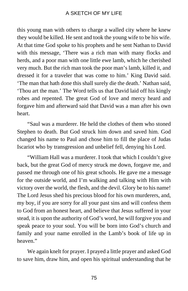this young man with others to charge a walled city where he knew they would be killed. He sent and took the young wife to be his wife. At that time God spoke to his prophets and he sent Nathan to David with this message, 'There was a rich man with many flocks and herds, and a poor man with one little ewe lamb, which he cherished very much. But the rich man took the poor man's lamb, killed it, and dressed it for a traveler that was come to him.' King David said. 'The man that hath done this shall surely die the death.' Nathan said, 'Thou art the man.' The Word tells us that David laid off his kingly robes and repented. The great God of love and mercy heard and forgave him and afterward said that David was a man after his own heart.

"Saul was a murderer. He held the clothes of them who stoned Stephen to death. But God struck him down and saved him. God changed his name to Paul and chose him to fill the place of Judas Iscariot who by transgression and unbelief fell, denying his Lord.

"William Hall was a murderer. I took that which I couldn't give back, but the great God of mercy struck me down, forgave me, and passed me through one of his great schools. He gave me a message for the outside world, and I'm walking and talking with Him with victory over the world, the flesh, and the devil. Glory be to his name! The Lord Jesus shed his precious blood for his own murderers, and, my boy, if you are sorry for all your past sins and will confess them to God from an honest heart, and believe that Jesus suffered in your stead, it is upon the authority of God's word, he will forgive you and speak peace to your soul. You will be born into God's church and family and your name enrolled in the Lamb's book of life up in heaven."

We again knelt for prayer. I prayed a little prayer and asked God to save him, draw him, and open his spiritual understanding that he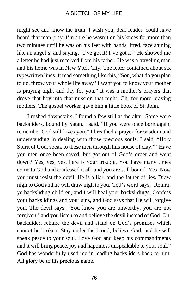might see and know the truth. I wish you, dear reader, could have heard that man pray. I'm sure he wasn't on his knees for more than two minutes until he was on his feet with hands lifted, face shining like an angel's, and saying, "I've got it! I've got it!" He showed me a letter he had just received from his father. He was a traveling man and his home was in New York City. The letter contained about six typewritten lines. It read something like this, "Son, what do you plan to do, throw your whole life away? I want you to know your mother is praying night and day for you." It was a mother's prayers that drove that boy into that mission that night. Oh, for more praying mothers. The gospel worker gave him a little book of St. John.

I rushed downstairs. I found a few still at the altar. Some were backsliders, bound by Satan, I said, "If you were once born again, remember God still loves you." I breathed a prayer for wisdom and understanding in dealing with those precious souls. I said, "Holy Spirit of God, speak to these men through this house of clay." "Have you men once been saved, but got out of God's order and went down? Yes, yes, yes, here is your trouble. You have many times come to God and confessed it all, and you are still bound. Yes. Now you must resist the devil. He is a liar, and the father of lies. Draw nigh to God and he will draw nigh to you. God's word says, 'Return, ye backsliding children, and I will heal your backslidings. Confess your backslidings and your sins, and God says that He will forgive you. The devil says, 'You know you are unworthy, you are not forgiven,' and you listen to and believe the devil instead of God. Oh, backslider, rebuke the devil and stand on God's promises which cannot be broken. Stay under the blood, believe God, and he will speak peace to your soul. Love God and keep his commandments and it will bring peace, joy and happiness unspeakable to your soul." God has wonderfully used me in leading backsliders back to him. All glory be to his precious name.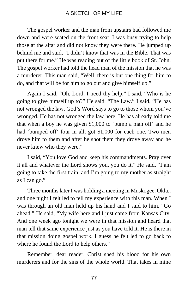The gospel worker and the man from upstairs had followed me down and were seated on the front seat. I was busy trying to help those at the altar and did not know they were there. He jumped up behind me and said, "I didn't know that was in the Bible. That was put there for me." He was reading out of the little book of St. John. The gospel worker had told the head man of the mission that he was a murderer. This man said, "Well, there is but one thing for him to do, and that will be for him to go out and give himself up."

Again I said, "Oh, Lord, I need thy help." I said, "Who is he going to give himself up to?" He said, "The Law." I said, "He has not wronged the law. God's Word says to go to those whom you've wronged. He has not wronged the law here. He has already told me that when a boy he was given \$1,000 to 'bump a man off' and he had 'bumped off' four in all, got \$1,000 for each one. Two men drove him to them and after he shot them they drove away and he never knew who they were."

I said, "You love God and keep his commandments. Pray over it all and whatever the Lord shows you, you do it." He said. "I am going to take the first train, and I'm going to my mother as straight as I can go."

Three months later I was holding a meeting in Muskogee. Okla., and one night I felt led to tell my experience with this man. When I was through an old man held up his hand and I said to him, "Go ahead." He said, "My wife here and I just came from Kansas City. And one week ago tonight we were in that mission and heard that man tell that same experience just as you have told it. He is there in that mission doing gospel work. I guess he felt led to go back to where he found the Lord to help others."

Remember, dear reader, Christ shed his blood for his own murderers and for the sins of the whole world. That takes in mine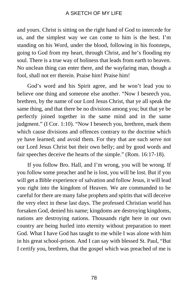and yours. Christ is sitting on the right hand of God to intercede for us, and the simplest way we can come to him is the best. I'm standing on his Word, under the blood, following in his footsteps, going to God from my heart, through Christ, and he's flooding my soul. There is a true way of holiness that leads from earth to heaven. No unclean thing can enter there, and the wayfaring man, though a fool, shall not err therein. Praise him! Praise him!

God's word and his Spirit agree, and he won't lead you to believe one thing and someone else another. "Now I beseech you, brethren, by the name of our Lord Jesus Christ, that ye all speak the same thing, and that there be no divisions among you; but that ye be perfectly joined together in the same mind and in the same judgment." (I Cor. 1:10). "Now I beseech you, brethren, mark them which cause divisions and offences contrary to the doctrine which ye have learned; and avoid them. For they that are such serve not our Lord Jesus Christ but their own belly; and by good words and fair speeches deceive the hearts of the simple." (Rom. 16:17-18).

If you follow Bro. Hall, and I'm wrong, you will be wrong. If you follow some preacher and he is lost, you will be lost. But if you will get a Bible experience of salvation and follow Jesus, it will lead you right into the kingdom of Heaven. We are commanded to be careful for there are many false prophets and spirits that will deceive the very elect in these last days. The professed Christian world has forsaken God, denied his name; kingdoms are destroying kingdoms, nations are destroying nations. Thousands right here in our own country are being hurled into eternity without preparation to meet God. What I have God has taught to me while I was alone with him in his great school-prison. And I can say with blessed St. Paul, "But I certify you, brethren, that the gospel which was preached of me is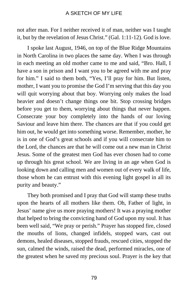not after man. For I neither received it of man, neither was I taught it, but by the revelation of Jesus Christ." (Gal. 1:11-12). God is love.

I spoke last August, 1946, on top of the Blue Ridge Mountains in North Carolina in two places the same day. When I was through in each meeting an old mother came to me and said, "Bro. Hall, I have a son in prison and I want you to be agreed with me and pray for him." I said to them both, "Yes, I'll pray for him. But listen, mother, I want you to promise the God I'm serving that this day you will quit worrying about that boy. Worrying only makes the load heavier and doesn't change things one bit. Stop crossing bridges before you get to them, worrying about things that never happen. Consecrate your boy completely into the hands of our loving Saviour and leave him there. The chances are that if you could get him out, he would get into something worse. Remember, mother, he is in one of God's great schools and if you will consecrate him to the Lord, the chances are that he will come out a new man in Christ Jesus. Some of the greatest men God has ever chosen had to come up through his great school. We are living in an age when God is looking down and calling men and women out of every walk of life, those whom he can entrust with this evening light gospel in all its purity and beauty."

They both promised and I pray that God will stamp these truths upon the hearts of all mothers like them. Oh, Father of light, in Jesus' name give us more praying mothers! It was a praying mother that helped to bring the convicting hand of God upon my soul. It has been well said, "We pray or perish." Prayer has stopped fire, closed the mouths of lions, changed infidels, stopped wars, cast out demons, healed diseases, stopped frauds, rescued cities, stopped the sun, calmed the winds, raised the dead, performed miracles, one of the greatest when he saved my precious soul. Prayer is the key that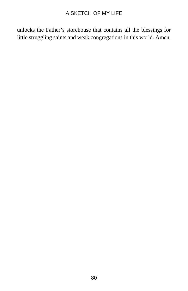unlocks the Father's storehouse that contains all the blessings for little struggling saints and weak congregations in this world. Amen.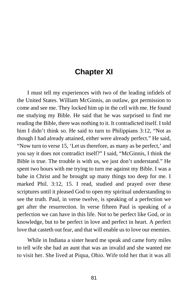# **Chapter XI**

I must tell my experiences with two of the leading infidels of the United States. William McGinnis, an outlaw, got permission to come and see me. They locked him up in the cell with me. He found me studying my Bible. He said that he was surprised to find me reading the Bible, there was nothing to it. It contradicted itself. I told him I didn't think so. He said to turn to Philippians 3:12, "Not as though I had already attained, either were already perfect." He said, "Now turn to verse 15, 'Let us therefore, as many as be perfect,' and you say it does not contradict itself?" I said, "McGinnis, I think the Bible is true. The trouble is with us, we just don't understand." He spent two hours with me trying to turn me against my Bible. I was a babe in Christ and he brought up many things too deep for me. I marked Phil. 3:12, 15. I read, studied and prayed over these scriptures until it pleased God to open my spiritual understanding to see the truth. Paul, in verse twelve, is speaking of a perfection we get after the resurrection. In verse fifteen Paul is speaking of a perfection we can have in this life. Not to be perfect like God, or in knowledge, but to be perfect in love and perfect in heart. A perfect love that casteth out fear, and that will enable us to love our enemies.

While in Indiana a sister heard me speak and came forty miles to tell wife she had an aunt that was an invalid and she wanted me to visit her. She lived at Piqua, Ohio. Wife told her that it was all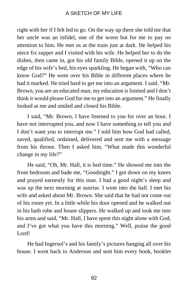right with her if I felt led to go. On the way up there she told me that her uncle was an infidel, one of the worst but for me to pay no attention to him. He met us at the train just at dark. He helped his niece fix supper and I visited with his wife. He helped her to do the dishes, then came in, got his old family Bible, opened it up on the edge of his wife's bed, his eyes sparkling. He began with, "Who can know God?" He went over his Bible in different places where he had it marked. He tried hard to get me into an argument. I said. "Mr. Brown, you are an educated man, my education is limited and I don't think it would please God for me to get into an argument." He finally looked at me and smiled and closed his Bible.

I said, "Mr. Brown, I have listened to you for over an hour. I have not interrupted you, and now I have something to tell you and I don't want you to interrupt me." I told him how God had called, saved, qualified, ordained, delivered and sent me with a message from his throne. Then I asked him, "What made this wonderful change in my life?"

He said, "Oh, Mr. Hall, it is bed time." He showed me into the front bedroom and bade me, "Goodnight." I got down on my knees and prayed earnestly for this man. I had a good night's sleep and was up the next morning at sunrise. I went into the hall. I met his wife and asked about Mr. Brown. She said that he had not come out of his room yet. In a little while his door opened and he walked out in his bath robe and house slippers. He walked up and took me into his arms and said, "Mr. Hall, I have spent this night alone with God, and I've got what you have this morning." Well, praise the good Lord!

He had Ingersol's and his family's pictures hanging all over his house. I went back to Anderson and sent him every book, booklet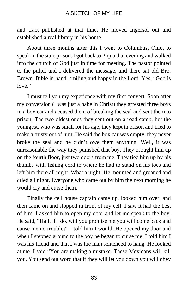and tract published at that time. He moved Ingersol out and established a real library in his home.

About three months after this I went to Columbus, Ohio, to speak in the state prison. I got back to Piqua that evening and walked into the church of God just in time for meeting. The pastor pointed to the pulpit and I delivered the message, and there sat old Bro. Brown, Bible in hand, smiling and happy in the Lord. Yes, "God is love."

I must tell you my experience with my first convert. Soon after my conversion (I was just a babe in Christ) they arrested three boys in a box car and accused them of breaking the seal and sent them to prison. The two oldest ones they sent out on a road camp, but the youngest, who was small for his age, they kept in prison and tried to make a trusty out of him. He said the box car was empty, they never broke the seal and he didn't owe them anything. Well, it was unreasonable the way they punished that boy. They brought him up on the fourth floor, just two doors from me. They tied him up by his thumbs with fishing cord to where he had to stand on his toes and left him there all night. What a night! He mourned and groaned and cried all night. Everyone who came out by him the next morning he would cry and curse them.

Finally the cell house captain came up, looked him over, and then came on and stopped in front of my cell. I saw it had the best of him. I asked him to open my door and let me speak to the boy. He said, "Hall, if I do, will you promise me you will come back and cause me no trouble?" I told him I would. He opened my door and when I stepped around to the boy he began to curse me. I told him I was his friend and that I was the man sentenced to hang. He looked at me. I said "You are making a mistake. These Mexicans will kill you. You send out word that if they will let you down you will obey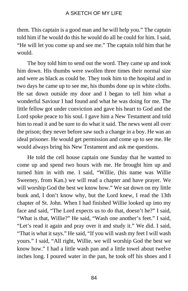them. This captain is a good man and he will help you." The captain told him if he would do this he would do all he could for him. I said, "He will let you come up and see me." The captain told him that he would.

The boy told him to send out the word. They came up and took him down. His thumbs were swollen three times their normal size and were as black as could be. They took him to the hospital and in two days he came up to see me, his thumbs done up in white cloths. He sat down outside my door and I began to tell him what a wonderful Saviour I had found and what he was doing for me. The little fellow got under conviction and gave his heart to God and the Lord spoke peace to his soul. I gave him a New Testament and told him to read it and be sure to do what it said. The news went all over the prison; they never before saw such a change in a boy. He was an ideal prisoner. He would get permission and come up to see me. He would always bring his New Testament and ask me questions.

He told the cell house captain one Sunday that he wanted to come up and spend two hours with me. He brought him up and turned him in with me. I said, "Willie, (his name was Willie Sweeney, from Kan.) we will read a chapter and have prayer. We will worship God the best we know how." We sat down on my little bunk and, I don't know why, but the Lord knew, I read the 13th chapter of St. John. When I had finished Willie looked up into my face and said, "The Lord expects us to do that, doesn't he?" I said, "What is that, Willie?" He said, "Wash one another's feet." I said, "Let's read it again and pray over it and study it." We did. I said, "That is what it says." He said, "If you will wash my feet I will wash yours." I said, "All right, Willie, we will worship God the best we know how." I had a little wash pan and a little towel about twelve inches long. I poured water in the pan, he took off his shoes and I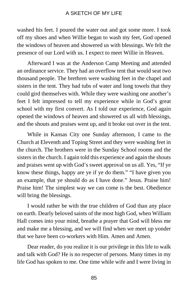washed his feet. I poured the water out and got some more. I took off my shoes and when Willie began to wash my feet, God opened the windows of heaven and showered us with blessings. We felt the presence of our Lord with us. I expect to meet Willie in Heaven.

Afterward I was at the Anderson Camp Meeting and attended an ordinance service. They had an overflow tent that would seat two thousand people. The brethren were washing feet in the chapel and sisters in the tent. They had tubs of water and long towels that they could gird themselves with. While they were washing one another's feet I felt impressed to tell my experience while in God's great school with my first convert. As I told our experience, God again opened the windows of heaven and showered us all with blessings, and the shouts and praises went up, and it broke out over in the tent.

While in Kansas City one Sunday afternoon, I came to the Church at Eleventh and Toping Street and they were washing feet in the church. The brothers were in the Sunday School rooms and the sisters in the church. I again told this experience and again the shouts and praises went up with God's sweet approval on us all. Yes, "If ye know these things, happy are ye if ye do them." "I have given you an example, that ye should do as I have done." Jesus. Praise him! Praise him! The simplest way we can come is the best. Obedience will bring the blessings.

I would rather be with the true children of God than any place on earth. Dearly beloved saints of the most high God, when William Hall comes into your mind, breathe a prayer that God will bless me and make me a blessing, and we will find when we meet up yonder that we have been co-workers with Him. Amen and Amen.

Dear reader, do you realize it is our privilege in this life to walk and talk with God? He is no respecter of persons. Many times in my life God has spoken to me. One time while wife and I were living in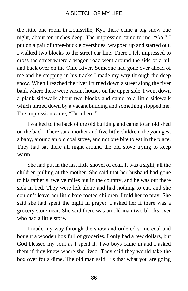the little one room in Louisville, Ky., there came a big snow one night, about ten inches deep. The impression came to me, "Go." I put on a pair of three-buckle overshoes, wrapped up and started out. I walked two blocks to the street car line. There I felt impressed to cross the street where a wagon road went around the side of a hill and back over on the Ohio River. Someone had gone over ahead of me and by stepping in his tracks I made my way through the deep snow. When I reached the river I turned down a street along the river bank where there were vacant houses on the upper side. I went down a plank sidewalk about two blocks and came to a little sidewalk which turned down by a vacant building and something stopped me. The impression came, "Turn here."

I walked to the back of the old building and came to an old shed on the back. There sat a mother and five little children, the youngest a baby, around an old coal stove, and not one bite to eat in the place. They had sat there all night around the old stove trying to keep warm.

She had put in the last little shovel of coal. It was a sight, all the children pulling at the mother. She said that her husband had gone to his father's, twelve miles out in the country, and he was out there sick in bed. They were left alone and had nothing to eat, and she couldn't leave her little bare footed children. I told her to pray. She said she had spent the night in prayer. I asked her if there was a grocery store near. She said there was an old man two blocks over who had a little store.

I made my way through the snow and ordered some coal and bought a wooden box full of groceries. I only had a few dollars, but God blessed my soul as I spent it. Two boys came in and I asked them if they knew where she lived. They said they would take the box over for a dime. The old man said, "Is that what you are going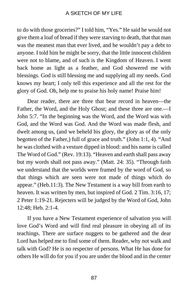to do with those groceries?" I told him, "Yes." He said he would not give them a loaf of bread if they were starving to death, that that man was the meanest man that ever lived, and he wouldn't pay a debt to anyone. I told him he might be sorry, that the little innocent children were not to blame, and of such is the Kingdom of Heaven. I went back home as light as a feather, and God showered me with blessings. God is still blessing me and supplying all my needs. God knows my heart; I only tell this experience and all the rest for the glory of God. Oh, help me to praise his holy name! Praise him!

Dear reader, there are three that bear record in heaven—the Father, the Word, and the Holy Ghost; and these three are one.—I John 5:7. "In the beginning was the Word, and the Word was with God, and the Word was God. And the Word was made flesh, and dwelt among us, (and we beheld his glory, the glory as of the only begotten of the Father,) full of grace and truth." (John 1:1, 4). "And he was clothed with a vesture dipped in blood: and his name is called The Word of God." (Rev. 19:13). "Heaven and earth shall pass away but my words shall not pass away." (Matt. 24: 35). "Through faith we understand that the worlds were framed by the word of God, so that things which are seen were not made of things which do appear." (Heb.11:3). The New Testament is a way bill from earth to heaven. It was written by men, but inspired of God. 2 Tim. 3:16, 17; 2 Peter 1:19-21. Rejecters will be judged by the Word of God, John 12:48; Heb. 2:1-4.

If you have a New Testament experience of salvation you will love God's Word and will find real pleasure in obeying all of its teachings. There are surface nuggets to be gathered and the dear Lord has helped me to find some of them. Reader, why not walk and talk with God? He is no respecter of persons. What He has done for others He will do for you if you are under the blood and in the center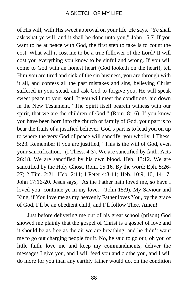of His will, with His sweet approval on your life. He says, "Ye shall ask what ye will, and it shall be done unto you," John 15:7. If you want to be at peace with God, the first step to take is to count the cost. What will it cost me to be a true follower of the Lord? It will cost you everything you know to be sinful and wrong. If you will come to God with an honest heart (God looketh on the heart), tell Him you are tired and sick of the sin business, you are through with it all, and confess all the past mistakes and sins, believing Christ suffered in your stead, and ask God to forgive you, He will speak sweet peace to your soul. If you will meet the conditions laid down in the New Testament, "The Spirit itself beareth witness with our spirit, that we are the children of God." (Rom. 8:16). If you know you have been born into the church or family of God, your part is to bear the fruits of a justified believer. God's part is to lead you on up to where the very God of peace will sanctify, you wholly. I Thess. 5:23. Remember if you are justified, "This is the will of God, even your sanctification." (I Thess. 4:3). We are sanctified by faith. Acts 26:18. We are sanctified by his own blood. Heb. 13:12. We are sanctified by the Holy Ghost. Rom. 15:16. By the word; Eph. 5:26- 27; 2 Tim. 2:21; Heb. 2:11; I Peter 4:8-11; Heb. 10:9, 10, 14-17; John 17:16-20. Jesus says, "As the Father hath loved me, so have I loved you: continue ye in my love." (John 15:9). My Saviour and King, if You love me as my heavenly Father loves You, by the grace of God, I'll be an obedient child, and I'll follow Thee. Amen!

Just before delivering me out of his great school (prison) God showed me plainly that the gospel of Christ is a gospel of love and it should be as free as the air we are breathing, and he didn't want me to go out charging people for it. No, he said to go out, oh you of little faith, love me and keep my commandments, deliver the messages I give you, and I will feed you and clothe you, and I will do more for you than any earthly father would do, on the condition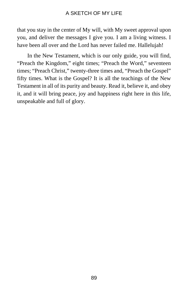that you stay in the center of My will, with My sweet approval upon you, and deliver the messages I give you. I am a living witness. I have been all over and the Lord has never failed me. Hallelujah!

In the New Testament, which is our only guide, you will find, "Preach the Kingdom," eight times; "Preach the Word," seventeen times; "Preach Christ," twenty-three times and, "Preach the Gospel" fifty times. What is the Gospel? It is all the teachings of the New Testament in all of its purity and beauty. Read it, believe it, and obey it, and it will bring peace, joy and happiness right here in this life, unspeakable and full of glory.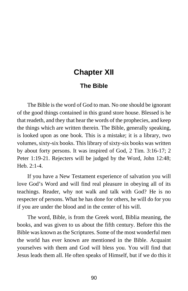# **Chapter XII**

## **The Bible**

The Bible is the word of God to man. No one should be ignorant of the good things contained in this grand store house. Blessed is he that readeth, and they that hear the words of the prophecies, and keep the things which are written therein. The Bible, generally speaking, is looked upon as one book. This is a mistake; it is a library, two volumes, sixty-six books. This library of sixty-six books was written by about forty persons. It was inspired of God, 2 Tim. 3:16-17; 2 Peter 1:19-21. Rejecters will be judged by the Word, John 12:48; Heb.  $2:1-4$ .

If you have a New Testament experience of salvation you will love God's Word and will find real pleasure in obeying all of its teachings. Reader, why not walk and talk with God? He is no respecter of persons. What he has done for others, he will do for you if you are under the blood and in the center of his will.

The word, Bible, is from the Greek word, Biblia meaning, the books, and was given to us about the fifth century. Before this the Bible was known as the Scriptures. Some of the most wonderful men the world has ever known are mentioned in the Bible. Acquaint yourselves with them and God will bless you. You will find that Jesus leads them all. He often speaks of Himself, but if we do this it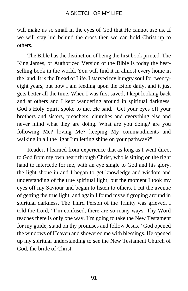will make us so small in the eyes of God that He cannot use us. If we will stay hid behind the cross then we can hold Christ up to others.

The Bible has the distinction of being the first book printed. The King James, or Authorized Version of the Bible is today the bestselling book in the world. You will find it in almost every home in the land. It is the Bread of Life. I starved my hungry soul for twentyeight years, but now I am feeding upon the Bible daily, and it just gets better all the time. When I was first saved, I kept looking back and at others and I kept wandering around in spiritual darkness. God's Holy Spirit spoke to me. He said, "Get your eyes off your brothers and sisters, preachers, churches and everything else and never mind what they are doing. What are you doing? are you following Me? loving Me? keeping My commandments and walking in all the light I'm letting shine on your pathway?"

Reader, I learned from experience that as long as I went direct to God from my own heart through Christ, who is sitting on the right hand to intercede for me, with an eye single to God and his glory, the light shone in and I began to get knowledge and wisdom and understanding of the true spiritual light; but the moment I took my eyes off my Saviour and began to listen to others, I cut the avenue of getting the true light, and again I found myself groping around in spiritual darkness. The Third Person of the Trinity was grieved. I told the Lord, "I'm confused, there are so many ways. Thy Word teaches there is only one way. I'm going to take the New Testament for my guide, stand on thy promises and follow Jesus." God opened the windows of Heaven and showered me with blessings. He opened up my spiritual understanding to see the New Testament Church of God, the bride of Christ.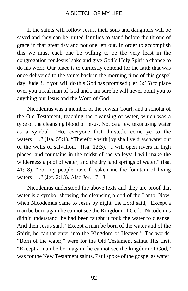If the saints will follow Jesus, their sons and daughters will be saved and they can be united families to stand before the throne of grace in that great day and not one left out. In order to accomplish this we must each one be willing to be the very least in the congregation for Jesus' sake and give God's Holy Spirit a chance to do his work. Our place is to earnestly contend for the faith that was once delivered to the saints back in the morning time of this gospel day. Jude 3. If you will do this God has promised (Jer. 3:15) to place over you a real man of God and I am sure he will never point you to anything but Jesus and the Word of God.

Nicodemus was a member of the Jewish Court, and a scholar of the Old Testament, teaching the cleansing of water, which was a type of the cleansing blood of Jesus. Notice a few texts using water as a symbol—"Ho, everyone that thirsteth, come ye to the waters . . ." (Isa. 55:1). "Therefore with joy shall ye draw water out of the wells of salvation." (Isa. 12:3). "I will open rivers in high places, and fountains in the midst of the valleys: I will make the wilderness a pool of water, and the dry land springs of water." (Isa. 41:18). "For my people have forsaken me the fountain of living waters . . ." (Jer. 2:13). Also Jer. 17:13.

Nicodemus understood the above texts and they are proof that water is a symbol showing the cleansing blood of the Lamb. Now, when Nicodemus came to Jesus by night, the Lord said, "Except a man be born again he cannot see the Kingdom of God." Nicodemus didn't understand, he had been taught it took the water to cleanse. And then Jesus said, "Except a man be born of the water and of the Spirit, he cannot enter into the Kingdom of Heaven." The words, "Born of the water," were for the Old Testament saints. His first, "Except a man be born again, he cannot see the kingdom of God," was for the New Testament saints. Paul spoke of the gospel as water.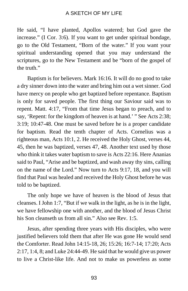He said, "I have planted, Apollos watered; but God gave the increase." (I Cor. 3:6). If you want to get under spiritual bondage, go to the Old Testament, "Born of the water." If you want your spiritual understanding opened that you may understand the scriptures, go to the New Testament and be "born of the gospel of the truth."

Baptism is for believers. Mark 16:16. It will do no good to take a dry sinner down into the water and bring him out a wet sinner. God have mercy on people who get baptized before repentance. Baptism is only for saved people. The first thing our Saviour said was to repent. Matt. 4:17, "From that time Jesus began to preach, and to say, 'Repent: for the kingdom of heaven is at hand.' " See Acts 2:38; 3:19; 10:47-48. One must be saved before he is a proper candidate for baptism. Read the tenth chapter of Acts. Cornelius was a righteous man, Acts 10:1, 2. He received the Holy Ghost, verses 44, 45, then he was baptized, verses 47, 48. Another text used by those who think it takes water baptism to save is Acts 22:16. Here Ananias said to Paul, "Arise and be baptized, and wash away thy sins, calling on the name of the Lord." Now turn to Acts 9:17, 18, and you will find that Paul was healed and received the Holy Ghost before he was told to be baptized.

The only hope we have of heaven is the blood of Jesus that cleanses. I John 1:7, "But if we walk in the light, as he is in the light, we have fellowship one with another, and the blood of Jesus Christ his Son cleanseth us from all sin." Also see Rev. 1:5.

Jesus, after spending three years with His disciples, who were justified believers told them that after He was gone He would send the Comforter. Read John 14:15-18, 26; 15:26; 16:7-14; 17:20; Acts 2:17, 1:4, 8; and Luke 24:44-49. He said that he would give us power to live a Christ-like life. And not to make us powerless as some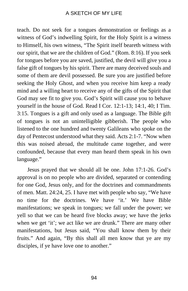teach. Do not seek for a tongues demonstration or feelings as a witness of God's indwelling Spirit, for the Holy Spirit is a witness to Himself, his own witness, "The Spirit itself beareth witness with our spirit, that we are the children of God." (Rom. 8:16). If you seek for tongues before you are saved, justified, the devil will give you a false gift of tongues by his spirit. There are many deceived souls and some of them are devil possessed. Be sure you are justified before seeking the Holy Ghost, and when you receive him keep a ready mind and a willing heart to receive any of the gifts of the Spirit that God may see fit to give you. God's Spirit will cause you to behave yourself in the house of God. Read I Cor. 12:1-13; 14:1, 40; I Tim. 3:15. Tongues is a gift and only used as a language. The Bible gift of tongues is not an unintelligible gibberish. The people who listened to the one hundred and twenty Galileans who spoke on the day of Pentecost understood what they said. Acts 2:1-7. "Now when this was noised abroad, the multitude came together, and were confounded, because that every man heard them speak in his own language."

Jesus prayed that we should all be one. John 17:1-26. God's approval is on no people who are divided, separated or contending for one God, Jesus only, and for the doctrines and commandments of men. Matt. 24:24, 25. I have met with people who say, "We have no time for the doctrines. We have 'it.' We have Bible manifestations; we speak in tongues; we fall under the power; we yell so that we can be heard five blocks away; we have the jerks when we get 'it'; we act like we are drunk." There are many other manifestations, but Jesus said, "You shall know them by their fruits." And again, "By this shall all men know that ye are my disciples, if ye have love one to another."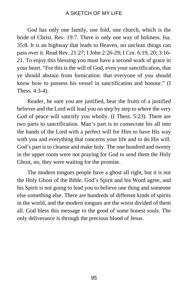God has only one family, one fold, one church, which is the bride of Christ. Rev. 19:7. There is only one way of holiness. Isa. 35:8. It is an highway that leads to Heaven, no unclean things can pass over it. Read Rev. 21:27; I John 2:26-29; I Cor. 6:19, 20; 3:16- 21. To enjoy this blessing you must have a second work of grace in your heart. "For this is the will of God, even your sanctification, that ye should abstain from fornication: that everyone of you should know how to possess his vessel in sanctification and honour." (I Thess. 4:3-4).

Reader, be sure you are justified, bear the fruits of a justified believer and the Lord will lead you on step by step to where the very God of peace will sanctify you wholly. (I Thess. 5:23). There are two parts to sanctification. Man's part is to consecrate his all into the hands of the Lord with a perfect will for Him to have His way with you and everything that concerns your life and to do His will. God's part is to cleanse and make holy. The one hundred and twenty in the upper room were not praying for God to send them the Holy Ghost, no, they were waiting for the promise.

The modern tongues people have a ghost all right, but it is not the Holy Ghost of the Bible. God's Spirit and his Word agree, and his Spirit is not going to lead you to believe one thing and someone else something else. There are hundreds of different kinds of spirits in the world, and the modern tongues are the worst divided of them all. God bless this message to the good of some honest souls. The only deliverance is through the precious blood of Jesus.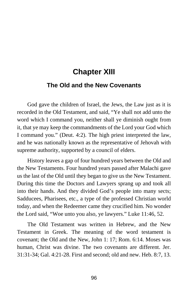# **Chapter XIII**

## **The Old and the New Covenants**

God gave the children of Israel, the Jews, the Law just as it is recorded in the Old Testament, and said, "Ye shall not add unto the word which I command you, neither shall ye diminish ought from it, that ye may keep the commandments of the Lord your God which I command you." (Deut. 4:2). The high priest interpreted the law, and he was nationally known as the representative of Jehovah with supreme authority, supported by a council of elders.

History leaves a gap of four hundred years between the Old and the New Testaments. Four hundred years passed after Malachi gave us the last of the Old until they began to give us the New Testament. During this time the Doctors and Lawyers sprang up and took all into their hands. And they divided God's people into many sects; Sadducees, Pharisees, etc., a type of the professed Christian world today, and when the Redeemer came they crucified him. No wonder the Lord said, "Woe unto you also, ye lawyers." Luke 11:46, 52.

The Old Testament was written in Hebrew, and the New Testament in Greek. The meaning of the word testament is covenant; the Old and the New, John 1: 17; Rom. 6:14. Moses was human, Christ was divine. The two covenants are different. Jer. 31:31-34; Gal. 4:21-28. First and second; old and new. Heb. 8:7, 13.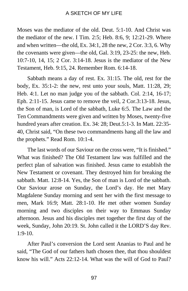Moses was the mediator of the old. Deut. 5:1-10. And Christ was the mediator of the new. I Tim. 2:5; Heb. 8:6, 9; 12:21-29. Where and when written—the old, Ex. 34:1, 28 the new, 2 Cor. 3:3, 6. Why the covenants were given—the old, Gal. 3:19, 23-25: the new, Heb. 10:7-10, 14, 15; 2 Cor. 3:14-18. Jesus is the mediator of the New Testament, Heb. 9:15, 24. Remember Rom. 6:14-18.

Sabbath means a day of rest. Ex. 31:15. The old, rest for the body, Ex. 35:1-2: the new, rest unto your souls, Matt. 11:28, 29; Heb. 4:1. Let no man judge you of the sabbath. Col. 2:14, 16-17; Eph. 2:11-15. Jesus came to remove the veil, 2 Cor.3:13-18. Jesus, the Son of man, is Lord of the sabbath, Luke 6:5. The Law and the Ten Commandments were given and written by Moses, twenty-five hundred years after creation. Ex. 34: 28; Deut.5:1-3. In Matt. 22:35- 40, Christ said, "On these two commandments hang all the law and the prophets." Read Rom. 10:1-4.

The last words of our Saviour on the cross were, "It is finished." What was finished? The Old Testament law was fulfilled and the perfect plan of salvation was finished. Jesus came to establish the New Testament or covenant. They destroyed him for breaking the sabbath. Matt. 12:8-14. Yes, the Son of man is Lord of the sabbath. Our Saviour arose on Sunday, the Lord's day. He met Mary Magdalene Sunday morning and sent her with the first message to men, Mark 16:9; Matt. 28:1-10. He met other women Sunday morning and two disciples on their way to Emmaus Sunday afternoon. Jesus and his disciples met together the first day of the week, Sunday, John 20:19. St. John called it the LORD'S day Rev. 1:9-10.

After Paul's conversion the Lord sent Ananias to Paul and he said, "The God of our fathers hath chosen thee, that thou shouldest know his will." Acts 22:12-14. What was the will of God to Paul?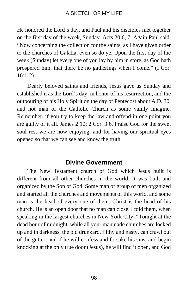He honored the Lord's day, and Paul and his disciples met together on the first day of the week, Sunday. Acts 20:6, 7. Again Paul said, "Now concerning the collection for the saints, as I have given order to the churches of Galatia, even so do ye. Upon the first day of the week (Sunday) let every one of you lay by him in store, as God hath prospered him, that there be no gatherings when I come." (I Cor. 16:1-2).

Dearly beloved saints and friends, Jesus gave us Sunday and established it as the Lord's day, in honor of his resurrection, and the outpouring of his Holy Spirit on the day of Pentecost about A.D. 30, and not man or the Catholic Church as some vainly imagine. Remember, if you try to keep the law and offend in one point you are guilty of it all. James 2:10; 2 Cor. 3:6. Praise God for the sweet soul rest we are now enjoying, and for having our spiritual eyes opened so that we can see and know the truth.

## **Divine Government**

The New Testament church of God which Jesus built is different from all other churches in the world. It was built and organized by the Son of God. Some man or group of men organized and started all the churches and movements of this world, and some man is the head of every one of them. Christ is the head of his church. He is an open door that no man can close. I told them, when speaking in the largest churches in New York City, "Tonight at the dead hour of midnight, while all your manmade churches are locked up and in darkness, the old drunkard, filthy and nasty, can crawl out of the gutter, and if he will confess and forsake his sins, and begin knocking at the only true door (Jesus), he will find it open, and God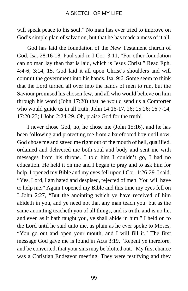will speak peace to his soul." No man has ever tried to improve on God's simple plan of salvation, but that he has made a mess of it all.

God has laid the foundation of the New Testament church of God. Isa. 28:16-18. Paul said in I Cor. 3:11, "For other foundation can no man lay than that is laid, which is Jesus Christ." Read Eph. 4:4-6; 3:14, 15. God laid it all upon Christ's shoulders and will commit the government into his hands. Isa. 9:6. Some seem to think that the Lord turned all over into the hands of men to run, but the Saviour promised his chosen few, and all who would believe on him through his word (John 17:20) that he would send us a Comforter who would guide us in all truth. John 14:16-17, 26; 15:26; 16:7-14; 17:20-23; I John 2:24-29. Oh, praise God for the truth!

I never chose God, no, he chose me (John 15:16), and he has been following and protecting me from a barefooted boy until now. God chose me and saved me right out of the mouth of hell, qualified, ordained and delivered me both soul and body and sent me with messages from his throne. I told him I couldn't go, I had no education. He held it on me and I began to pray and to ask him for help. I opened my Bible and my eyes fell upon I Cor. 1:26-29. I said, "Yes, Lord, I am hated and despised, rejected of men. You will have to help me." Again I opened my Bible and this time my eyes fell on I John 2:27, "But the anointing which ye have received of him abideth in you, and ye need not that any man teach you: but as the same anointing teacheth you of all things, and is truth, and is no lie, and even as it hath taught you, ye shall abide in him." I held on to the Lord until he said unto me, as plain as he ever spoke to Moses, "You go out and open your mouth, and I will fill it." The first message God gave me is found in Acts 3:19, "Repent ye therefore, and be converted, that your sins may be blotted out." My first chance was a Christian Endeavor meeting. They were testifying and they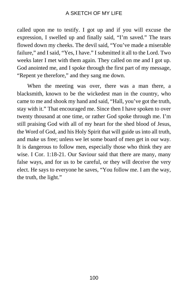called upon me to testify. I got up and if you will excuse the expression, I swelled up and finally said, "I'm saved." The tears flowed down my cheeks. The devil said, "You've made a miserable failure," and I said, "Yes, I have." I submitted it all to the Lord. Two weeks later I met with them again. They called on me and I got up. God anointed me, and I spoke through the first part of my message, "Repent ye therefore," and they sang me down.

When the meeting was over, there was a man there, a blacksmith, known to be the wickedest man in the country, who came to me and shook my hand and said, "Hall, you've got the truth, stay with it." That encouraged me. Since then I have spoken to over twenty thousand at one time, or rather God spoke through me. I'm still praising God with all of my heart for the shed blood of Jesus, the Word of God, and his Holy Spirit that will guide us into all truth, and make us free; unless we let some board of men get in our way. It is dangerous to follow men, especially those who think they are wise. I Cor. 1:18-21. Our Saviour said that there are many, many false ways, and for us to be careful, or they will deceive the very elect. He says to everyone he saves, "You follow me. I am the way, the truth, the light."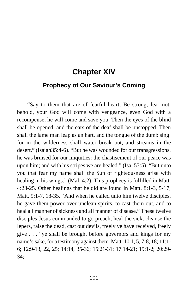## **Chapter XIV**

## **Prophecy of Our Saviour's Coming**

"Say to them that are of fearful heart, Be strong, fear not: behold, your God will come with vengeance, even God with a recompense; he will come and save you. Then the eyes of the blind shall be opened, and the ears of the deaf shall be unstopped. Then shall the lame man leap as an hart, and the tongue of the dumb sing: for in the wilderness shall water break out, and streams in the desert." (Isaiah35:4-6). "But he was wounded for our transgressions, he was bruised for our iniquities: the chastisement of our peace was upon him; and with his stripes we are healed." (Isa. 53:5). "But unto you that fear my name shall the Sun of righteousness arise with healing in his wings." (Mal. 4:2). This prophecy is fulfilled in Matt. 4:23-25. Other healings that he did are found in Matt. 8:1-3, 5-17; Matt. 9:1-7, 18-35. "And when he called unto him twelve disciples, he gave them power over unclean spirits, to cast them out, and to heal all manner of sickness and all manner of disease." These twelve disciples Jesus commanded to go preach, heal the sick, cleanse the lepers, raise the dead, cast out devils, freely ye have received, freely give . . . "ye shall be brought before governors and kings for my name's sake, for a testimony against them. Matt. 10:1, 5, 7-8, 18; 11:1- 6; 12:9-13, 22, 25; 14:14, 35-36; 15:21-31; 17:14-21; 19:1-2; 20:29- 34;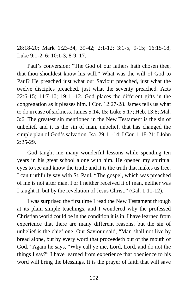28:18-20; Mark 1:23-34, 39-42; 2:1-12; 3:1-5, 9-15; 16:15-18; Luke 9:1-2, 6; 10:1-3, 8-9, 17.

Paul's conversion: "The God of our fathers hath chosen thee, that thou shouldest know his will." What was the will of God to Paul? He preached just what our Saviour preached, just what the twelve disciples preached, just what the seventy preached. Acts 22:6-15; 14:7-10; 19:11-12. God places the different gifts in the congregation as it pleases him. I Cor. 12:27-28. James tells us what to do in case of sickness. James 5:14, 15; Luke 5:17; Heb. 13:8; Mal. 3:6. The greatest sin mentioned in the New Testament is the sin of unbelief, and it is the sin of man, unbelief, that has changed the simple plan of God's salvation. Isa. 29:11-14; I Cor. 1:18-21; I John  $2:25-29$ .

God taught me many wonderful lessons while spending ten years in his great school alone with him. He opened my spiritual eyes to see and know the truth; and it is the truth that makes us free. I can truthfully say with St. Paul, "The gospel, which was preached of me is not after man. For I neither received it of man, neither was I taught it, but by the revelation of Jesus Christ." (Gal. 1:11-12).

I was surprised the first time I read the New Testament through at its plain simple teachings, and I wondered why the professed Christian world could be in the condition it is in. I have learned from experience that there are many different reasons, but the sin of unbelief is the chief one. Our Saviour said, "Man shall not live by bread alone, but by every word that proceedeth out of the mouth of God." Again he says, "Why call ye me, Lord, Lord, and do not the things I say?" I have learned from experience that obedience to his word will bring the blessings. It is the prayer of faith that will save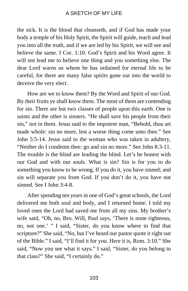the sick. It is the blood that cleanseth, and if God has made your body a temple of his Holy Spirit, the Spirit will guide, teach and lead you into all the truth, and if we are led by his Spirit, we will see and believe the same. I Cor. 1:10. God's Spirit and his Word agree. It will not lead me to believe one thing and you something else. The dear Lord warns us whom he has ordained for eternal life to be careful, for there are many false spirits gone out into the world to deceive the very elect.

How are we to know them? By the Word and Spirit of our God. By their fruits ye shall know them. The most of them are contending for sin. There are but two classes of people upon this earth. One is saints and the other is sinners. "He shall save his people from their sin," not in them. Jesus said to the impotent man, "Behold, thou art made whole: sin no more, lest a worse thing come unto thee." See John 5:5-14. Jesus said to the woman who was taken in adultery, "Neither do I condemn thee: go and sin no more." See John 8:3-11. The trouble is the blind are leading the blind. Let's be honest with our God and with our souls. What is sin? Sin is for you to do something you know to be wrong. If you do it, you have sinned; and sin will separate you from God. If you don't do it, you have not sinned. See I John 3:4-8.

After spending ten years in one of God's great schools, the Lord delivered me both soul and body, and I returned home. I told my loved ones the Lord had saved me from all my sins. My brother's wife said, "Oh, no, Bro. Will, Paul says, 'There is none righteous, no, not one.' " I said, "Sister, do you know where to find that scripture?" She said, "No, but I've heard our pastor quote it right out of the Bible." I said, "I'll find it for you. Here it is, Rom. 3:10." She said, "Now you see what it says." I said, "Sister, do you belong to that class?" She said, "I certainly do."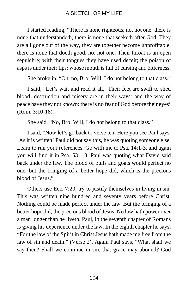I started reading, "There is none righteous, no, not one: there is none that understandeth, there is none that seeketh after God. They are all gone out of the way, they are together become unprofitable, there is none that doeth good, no, not one. Their throat is an open sepulchre; with their tongues they have used deceit; the poison of asps is under their lips: whose mouth is full of cursing and bitterness.

She broke in, "Oh, no, Bro. Will, I do not belong to that class."

I said, "Let's wait and read it all, 'Their feet are swift to shed blood: destruction and misery are in their ways: and the way of peace have they not known: there is no fear of God before their eyes' (Rom. 3:10-18)."

She said, "No, Bro. Will, I do not belong to that class."

I said, "Now let's go back to verse ten. Here you see Paul says, 'As it is written' Paul did not say this, he was quoting someone else. Learn to run your references. Go with me to Psa. 14:1-3, and again you will find it in Psa. 53:1-3. Paul was quoting what David said back under the law. The blood of bulls and goats would perfect no one, but the bringing of a better hope did, which is the precious blood of Jesus."

Others use Ecc. 7:20, try to justify themselves in living in sin. This was written nine hundred and seventy years before Christ. Nothing could be made perfect under the law. But the bringing of a better hope did, the precious blood of Jesus. No law hath power over a man longer than he liveth. Paul, in the seventh chapter of Romans is giving his experience under the law. In the eighth chapter he says, "For the law of the Spirit in Christ Jesus hath made me free from the law of sin and death." (Verse 2). Again Paul says, "What shall we say then? Shall we continue in sin, that grace may abound? God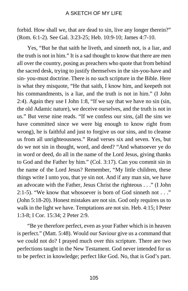forbid. How shall we, that are dead to sin, live any longer therein?" (Rom. 6:1-2). See Gal. 3:23-25; Heb. 10:9-10; James 4:7-10.

Yes, "But he that saith he liveth, and sinneth not, is a liar, and the truth is not in him." It is a sad thought to know that there are men all over the country, posing as preachers who quote that from behind the sacred desk, trying to justify themselves in the sin-you-have and sin- you-must doctrine. There is no such scripture in the Bible. Here is what they misquote, "He that saith, I know him, and keepeth not his commandments, is a liar, and the truth is not in him." (I John 2:4). Again they use I John 1:8, "If we say that we have no sin (sin, the old Adamic nature), we deceive ourselves, and the truth is not in us." But verse nine reads. "If we confess our sins, (all the sins we have committed since we were big enough to know right from wrong), he is faithful and just to forgive us our sins, and to cleanse us from all unrighteousness." Read verses six and seven. Yes, but do we not sin in thought, word, and deed? "And whatsoever ye do in word or deed, do all in the name of the Lord Jesus, giving thanks to God and the Father by him." (Col. 3:17). Can you commit sin in the name of the Lord Jesus? Remember, "My little children, these things write I unto you, that ye sin not. And if any man sin, we have an advocate with the Father, Jesus Christ the righteous . . ." (I John 2:1-5). "We know that whosoever is born of God sinneth not . . ." (John 5:18-20). Honest mistakes are not sin. God only requires us to walk in the light we have. Temptations are not sin. Heb. 4:15; I Peter 1:3-8; I Cor. 15:34; 2 Peter 2:9.

"Be ye therefore perfect, even as your Father which is in heaven is perfect." (Matt. 5:48). Would our Saviour give us a command that we could not do? I prayed much over this scripture. There are two perfections taught in the New Testament. God never intended for us to be perfect in knowledge; perfect like God. No, that is God's part.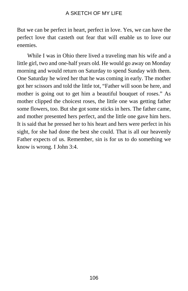But we can be perfect in heart, perfect in love. Yes, we can have the perfect love that casteth out fear that will enable us to love our enemies.

While I was in Ohio there lived a traveling man his wife and a little girl, two and one-half years old. He would go away on Monday morning and would return on Saturday to spend Sunday with them. One Saturday he wired her that he was coming in early. The mother got her scissors and told the little tot, "Father will soon be here, and mother is going out to get him a beautiful bouquet of roses." As mother clipped the choicest roses, the little one was getting father some flowers, too. But she got some sticks in hers. The father came, and mother presented hers perfect, and the little one gave him hers. It is said that he pressed her to his heart and hers were perfect in his sight, for she had done the best she could. That is all our heavenly Father expects of us. Remember, sin is for us to do something we know is wrong. I John 3:4.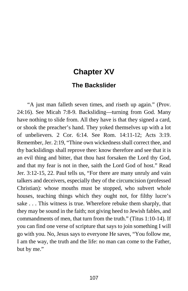# **Chapter XV**

# **The Backslider**

"A just man falleth seven times, and riseth up again." (Prov. 24:16). See Micah 7:8-9. Backsliding—turning from God. Many have nothing to slide from. All they have is that they signed a card, or shook the preacher's hand. They yoked themselves up with a lot of unbelievers. 2 Cor. 6:14. See Rom. 14:11-12; Acts 3:19. Remember, Jer. 2:19, "Thine own wickedness shall correct thee, and thy backslidings shall reprove thee: know therefore and see that it is an evil thing and bitter, that thou hast forsaken the Lord thy God, and that my fear is not in thee, saith the Lord God of host." Read Jer. 3:12-15, 22. Paul tells us, "For there are many unruly and vain talkers and deceivers, especially they of the circumcision (professed Christian): whose mouths must be stopped, who subvert whole houses, teaching things which they ought not, for filthy lucre's sake . . . This witness is true. Wherefore rebuke them sharply, that they may be sound in the faith; not giving heed to Jewish fables, and commandments of men, that turn from the truth." (Titus 1:10-14). If you can find one verse of scripture that says to join something I will go with you. No, Jesus says to everyone He saves, "You follow me, I am the way, the truth and the life: no man can come to the Father, but by me."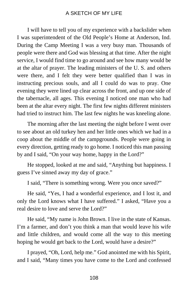I will have to tell you of my experience with a backslider when I was superintendent of the Old People's Home at Anderson, Ind. During the Camp Meeting I was a very busy man. Thousands of people were there and God was blessing at that time. After the night service, I would find time to go around and see how many would be at the altar of prayer. The leading ministers of the U. S. and others were there, and I felt they were better qualified than I was in instructing precious souls, and all I could do was to pray. One evening they were lined up clear across the front, and up one side of the tabernacle, all ages. This evening I noticed one man who had been at the altar every night. The first few nights different ministers had tried to instruct him. The last few nights he was kneeling alone.

The morning after the last meeting the night before I went over to see about an old turkey hen and her little ones which we had in a coop about the middle of the campgrounds. People were going in every direction, getting ready to go home. I noticed this man passing by and I said, "On your way home, happy in the Lord?"

He stopped, looked at me and said, "Anything but happiness. I guess I've sinned away my day of grace."

I said, "There is something wrong. Were you once saved?"

He said, "Yes, I had a wonderful experience, and I lost it, and only the Lord knows what I have suffered." I asked, "Have you a real desire to love and serve the Lord?"

He said, "My name is John Brown. I live in the state of Kansas. I'm a farmer, and don't you think a man that would leave his wife and little children, and would come all the way to this meeting hoping he would get back to the Lord, would have a desire?"

I prayed, "Oh, Lord, help me." God anointed me with his Spirit, and I said, "Many times you have come to the Lord and confessed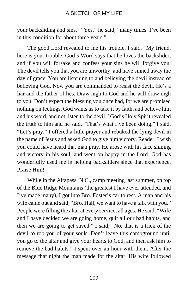your backsliding and sins." "Yes," he said, "many times. I've been in this condition for about three years."

The good Lord revealed to me his trouble. I said, "My friend, here is your trouble. God's Word says that he loves the backslider, and if you will forsake and confess your sins he will forgive you. The devil tells you that you are unworthy, and have sinned away the day of grace. You are listening to and believing the devil instead of believing God. Now you are commanded to resist the devil. He's a liar and the father of lies. Draw nigh to God and he will draw nigh to you. Don't expect the blessing you once had, for we are promised nothing on feelings. God wants us to take it by faith, and believe him and his word, and not listen to the devil." God's Holy Spirit revealed the truth to him and he said, "That's what I've been doing." I said, "Let's pray." I offered a little prayer and rebuked the lying devil in the name of Jesus and asked God to give him victory. Reader, I wish you could have heard that man pray. He arose with his face shining and victory in his soul, and went on happy in the Lord. God has wonderfully used me in helping backsliders since that experience. Praise Him!

While in the Altapass, N.C., camp meeting last summer, on top of the Blue Ridge Mountains (the greatest I have ever attended, and I've made many), I got into Bro. Foster's car to rest. A man and his wife came out and said, "Bro. Hall, we want to have a talk with you." People were filling the altar at every service, all ages. He said, "Wife and I have decided we are going home, quit all our bad habits, and then we are going to get saved." I said, "No, that is a trick of the devil to rob you of your souls. Don't leave this campground until you go to the altar and give your hearts to God, and then ask him to remove the bad habits." I spent over an hour with them. After the message that night the man made for the altar. His wife followed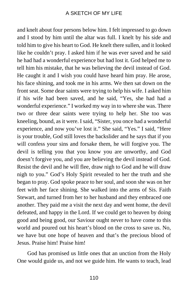and knelt about four persons below him. I felt impressed to go down and I stood by him until the altar was full. I knelt by his side and told him to give his heart to God. He knelt there sullen, and it looked like he couldn't pray. I asked him if he was ever saved and he said he had had a wonderful experience but had lost it. God helped me to tell him his mistake, that he was believing the devil instead of God. He caught it and I wish you could have heard him pray. He arose, his face shining, and took me in his arms. We then sat down on the front seat. Some dear saints were trying to help his wife. I asked him if his wife had been saved, and he said, "Yes, she had had a wonderful experience." I worked my way in to where she was. There two or three dear saints were trying to help her. She too was kneeling, bound, as it were. I said, "Sister, you once had a wonderful experience, and now you've lost it." She said, "Yes." I said, "Here is your trouble, God still loves the backslider and he says that if you will confess your sins and forsake them, he will forgive you. The devil is telling you that you know you are unworthy, and God doesn't forgive you, and you are believing the devil instead of God. Resist the devil and he will flee, draw nigh to God and he will draw nigh to you." God's Holy Spirit revealed to her the truth and she began to pray. God spoke peace to her soul, and soon she was on her feet with her face shining. She walked into the arms of Sis. Faith Stewart, and turned from her to her husband and they embraced one another. They paid me a visit the next day and went home, the devil defeated, and happy in the Lord. If we could get to heaven by doing good and being good, our Saviour ought never to have come to this world and poured out his heart's blood on the cross to save us. No, we have but one hope of heaven and that's the precious blood of Jesus. Praise him! Praise him!

God has promised us little ones that an unction from the Holy One would guide us, and not we guide him. He wants to teach, lead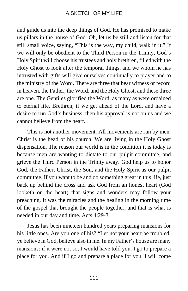and guide us into the deep things of God. He has promised to make us pillars in the house of God. Oh, let us be still and listen for that still small voice, saying, "This is the way, my child, walk in it." If we will only be obedient to the Third Person in the Trinity, God's Holy Spirit will choose his trustees and holy brethren, filled with the Holy Ghost to look after the temporal things, and we whom he has intrusted with gifts will give ourselves continually to prayer and to the ministry of the Word. There are three that bear witness or record in heaven, the Father, the Word, and the Holy Ghost, and these three are one. The Gentiles glorified the Word, as many as were ordained to eternal life. Brethren, if we get ahead of the Lord, and have a desire to run God's business, then his approval is not on us and we cannot believe from the heart.

This is not another movement. All movements are run by men. Christ is the head of his church. We are living in the Holy Ghost dispensation. The reason our world is in the condition it is today is because men are wanting to dictate to our pulpit committee, and grieve the Third Person in the Trinity away. God help us to honor God, the Father, Christ, the Son, and the Holy Spirit as our pulpit committee. If you want to be and do something great in this life, just back up behind the cross and ask God from an honest heart (God looketh on the heart) that signs and wonders may follow your preaching. It was the miracles and the healing in the morning time of the gospel that brought the people together, and that is what is needed in our day and time. Acts 4:29-31.

Jesus has been nineteen hundred years preparing mansions for his little ones. Are you one of his? "Let not your heart be troubled: ye believe in God, believe also in me. In my Father's house are many mansions: if it were not so, I would have told you. I go to prepare a place for you. And if I go and prepare a place for you, I will come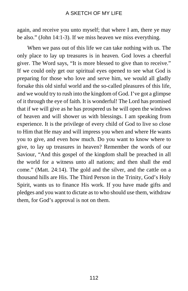again, and receive you unto myself; that where I am, there ye may be also." (John 14:1-3). If we miss heaven we miss everything.

When we pass out of this life we can take nothing with us. The only place to lay up treasures is in heaven. God loves a cheerful giver. The Word says, "It is more blessed to give than to receive." If we could only get our spiritual eyes opened to see what God is preparing for those who love and serve him, we would all gladly forsake this old sinful world and the so-called pleasures of this life, and we would try to rush into the kingdom of God. I've got a glimpse of it through the eye of faith. It is wonderful! The Lord has promised that if we will give as he has prospered us he will open the windows of heaven and will shower us with blessings. I am speaking from experience. It is the privilege of every child of God to live so close to Him that He may and will impress you when and where He wants you to give, and even how much. Do you want to know where to give, to lay up treasures in heaven? Remember the words of our Saviour, "And this gospel of the kingdom shall be preached in all the world for a witness unto all nations; and then shall the end come." (Matt. 24:14). The gold and the silver, and the cattle on a thousand hills are His. The Third Person in the Trinity, God's Holy Spirit, wants us to finance His work. If you have made gifts and pledges and you want to dictate as to who should use them, withdraw them, for God's approval is not on them.